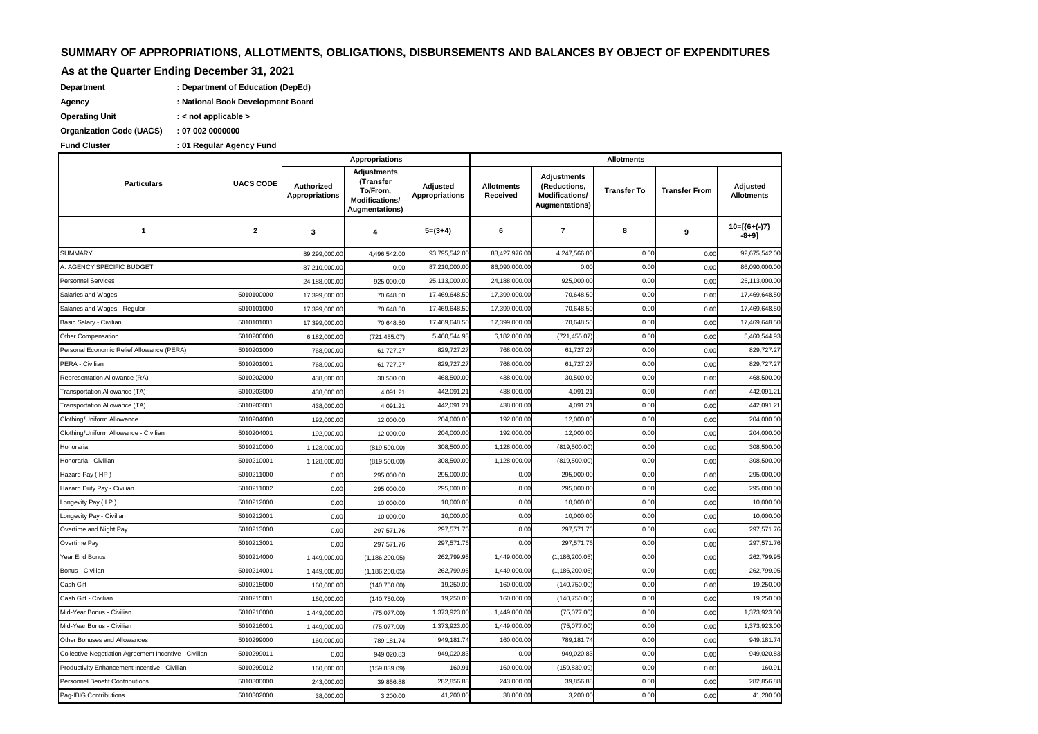# **SUMMARY OF APPROPRIATIONS, ALLOTMENTS, OBLIGATIONS, DISBURSEMENTS AND BALANCES BY OBJECT OF EXPENDITURES**

# **As at the Quarter Ending December 31, 2021**

| Department | : Department of Education (DepEd) |
|------------|-----------------------------------|
| Agency     | : National Book Development Board |

**Operating Unit : < not applicable >**

**Organization Code (UACS) : 07 002 0000000**

#### **: Fund Cluster 01 Regular Agency Fund**

|                                                       |                  |                                     | <b>Appropriations</b>                                                                  |                                   | <b>Allotments</b>             |                                                                               |                    |                      |                               |
|-------------------------------------------------------|------------------|-------------------------------------|----------------------------------------------------------------------------------------|-----------------------------------|-------------------------------|-------------------------------------------------------------------------------|--------------------|----------------------|-------------------------------|
| <b>Particulars</b>                                    | <b>UACS CODE</b> | Authorized<br><b>Appropriations</b> | <b>Adjustments</b><br>(Transfer<br>To/From,<br><b>Modifications/</b><br>Augmentations) | Adjusted<br><b>Appropriations</b> | <b>Allotments</b><br>Received | <b>Adjustments</b><br>(Reductions,<br>Modifications/<br><b>Augmentations)</b> | <b>Transfer To</b> | <b>Transfer From</b> | Adjusted<br><b>Allotments</b> |
| 1                                                     | $\mathbf{2}$     | 3                                   | 4                                                                                      | $5=(3+4)$                         | 6                             | $\overline{\mathbf{r}}$                                                       | 8                  | 9                    | $10=[(6+(-)7)]$<br>-8+91      |
| <b>SUMMARY</b>                                        |                  | 89,299,000.00                       | 4,496,542.00                                                                           | 93,795,542.00                     | 88,427,976.00                 | 4,247,566.00                                                                  | 0.00               | 0.00                 | 92,675,542.00                 |
| A. AGENCY SPECIFIC BUDGET                             |                  | 87,210,000.00                       | 0.00                                                                                   | 87,210,000.00                     | 86,090,000.00                 | 0.00                                                                          | 0.00               | 0.00                 | 86,090,000.00                 |
| <b>Personnel Services</b>                             |                  | 24,188,000.00                       | 925,000.00                                                                             | 25,113,000.00                     | 24,188,000.00                 | 925,000.00                                                                    | 0.00               | 0.00                 | 25,113,000.00                 |
| Salaries and Wages                                    | 5010100000       | 17,399,000.00                       | 70,648.50                                                                              | 17,469,648.50                     | 17,399,000.00                 | 70,648.50                                                                     | 0.00               | 0.00                 | 17,469,648.50                 |
| Salaries and Wages - Regular                          | 5010101000       | 17,399,000.00                       | 70,648.50                                                                              | 17,469,648.50                     | 17,399,000.00                 | 70,648.50                                                                     | 0.00               | 0.00                 | 17,469,648.50                 |
| Basic Salary - Civilian                               | 5010101001       | 17,399,000.00                       | 70,648.50                                                                              | 17,469,648.50                     | 17,399,000.00                 | 70,648.50                                                                     | 0.00               | 0.00                 | 17,469,648.50                 |
| Other Compensation                                    | 5010200000       | 6,182,000.00                        | (721, 455.07)                                                                          | 5,460,544.93                      | 6,182,000.00                  | (721,455.07)                                                                  | 0.00               | 0.00                 | 5,460,544.93                  |
| Personal Economic Relief Allowance (PERA)             | 5010201000       | 768,000.00                          | 61,727.27                                                                              | 829,727.27                        | 768,000.00                    | 61,727.27                                                                     | 0.00               | 0.00                 | 829,727.2                     |
| PERA - Civilian                                       | 5010201001       | 768,000.00                          | 61,727.27                                                                              | 829,727.27                        | 768,000.00                    | 61,727.27                                                                     | 0.00               | 0.00                 | 829.727.27                    |
| Representation Allowance (RA)                         | 5010202000       | 438,000.00                          | 30,500.00                                                                              | 468,500.00                        | 438,000.00                    | 30,500.00                                                                     | 0.00               | 0.00                 | 468,500.00                    |
| Transportation Allowance (TA)                         | 5010203000       | 438,000.00                          | 4,091.21                                                                               | 442,091.2                         | 438,000.00                    | 4,091.2                                                                       | 0.00               | 0.00                 | 442,091.21                    |
| Transportation Allowance (TA)                         | 5010203001       | 438,000.00                          | 4.091.21                                                                               | 442,091.2                         | 438,000.00                    | 4,091.21                                                                      | 0.00               | 0.00                 | 442,091.21                    |
| Clothing/Uniform Allowance                            | 5010204000       | 192,000.00                          | 12,000.00                                                                              | 204,000.00                        | 192,000.00                    | 12,000.00                                                                     | 0.00               | 0.00                 | 204,000.00                    |
| Clothing/Uniform Allowance - Civilian                 | 5010204001       | 192,000.00                          | 12,000.00                                                                              | 204,000.00                        | 192,000.00                    | 12,000.00                                                                     | 0.00               | 0.00                 | 204,000.00                    |
| Honoraria                                             | 5010210000       | 1,128,000.00                        | (819,500.00)                                                                           | 308,500.0                         | 1,128,000.00                  | (819,500.00)                                                                  | 0.00               | 0.00                 | 308,500.00                    |
| Honoraria - Civilian                                  | 5010210001       | 1,128,000.00                        | (819,500.00)                                                                           | 308,500.0                         | 1,128,000.00                  | (819,500.00)                                                                  | 0.00               | 0.00                 | 308,500.00                    |
| Hazard Pay (HP)                                       | 5010211000       | 0.00                                | 295,000.00                                                                             | 295,000.00                        | 0.00                          | 295,000.00                                                                    | 0.00               | 0.00                 | 295,000.00                    |
| Hazard Duty Pay - Civilian                            | 5010211002       | 0.00                                | 295,000.00                                                                             | 295,000.00                        | 0.00                          | 295,000.00                                                                    | 0.00               | 0.00                 | 295,000.00                    |
| Longevity Pay (LP)                                    | 5010212000       | 0.00                                | 10,000.00                                                                              | 10,000.00                         | 0.00                          | 10,000.00                                                                     | 0.00               | 0.00                 | 10,000.00                     |
| Longevity Pay - Civilian                              | 5010212001       | 0.00                                | 10,000.00                                                                              | 10,000.00                         | 0.00                          | 10,000.00                                                                     | 0.00               | 0.00                 | 10,000.00                     |
| Overtime and Night Pay                                | 5010213000       | 0.00                                | 297,571.76                                                                             | 297,571.76                        | 0.00                          | 297,571.76                                                                    | 0.00               | 0.00                 | 297,571.76                    |
| Overtime Pay                                          | 5010213001       | 0.00                                | 297,571.76                                                                             | 297,571.76                        | 0.00                          | 297,571.76                                                                    | 0.00               | 0.00                 | 297,571.76                    |
| Year End Bonus                                        | 5010214000       | 1,449,000.00                        | (1, 186, 200.05)                                                                       | 262,799.95                        | 1,449,000.00                  | (1, 186, 200.05)                                                              | 0.00               | 0.00                 | 262,799.95                    |
| Bonus - Civilian                                      | 5010214001       | 1,449,000.00                        | (1, 186, 200.05)                                                                       | 262,799.95                        | 1,449,000.00                  | (1, 186, 200.05)                                                              | 0.00               | 0.00                 | 262,799.95                    |
| Cash Gift                                             | 5010215000       | 160,000.00                          | (140, 750.00)                                                                          | 19,250.00                         | 160,000.00                    | (140, 750.00)                                                                 | 0.00               | 0.00                 | 19,250.00                     |
| Cash Gift - Civilian                                  | 5010215001       | 160,000.0                           | (140, 750.00)                                                                          | 19,250.00                         | 160,000.00                    | (140, 750.00)                                                                 | 0.00               | 0.00                 | 19,250.00                     |
| Mid-Year Bonus - Civilian                             | 5010216000       | 1,449,000.00                        | (75,077.00)                                                                            | 1,373,923.00                      | 1,449,000.00                  | (75,077.00)                                                                   | 0.00               | 0.00                 | 1,373,923.00                  |
| Mid-Year Bonus - Civilian                             | 5010216001       | 1,449,000.0                         | (75,077.00)                                                                            | 1,373,923.00                      | 1,449,000.00                  | (75,077.00)                                                                   | 0.00               | 0.00                 | 1,373,923.00                  |
| Other Bonuses and Allowances                          | 5010299000       | 160,000.00                          | 789,181.74                                                                             | 949,181.74                        | 160,000.0                     | 789,181.74                                                                    | 0.00               | 0.00                 | 949,181.74                    |
| Collective Negotiation Agreement Incentive - Civilian | 5010299011       | 0.00                                | 949,020.83                                                                             | 949,020.83                        | 0.00                          | 949,020.83                                                                    | 0.00               | 0.00                 | 949,020.83                    |
| Productivity Enhancement Incentive - Civilian         | 5010299012       | 160,000.00                          | (159, 839.09)                                                                          | 160.9 <sup>°</sup>                | 160,000.00                    | (159,839.09)                                                                  | 0.00               | 0.00                 | 160.91                        |
| <b>Personnel Benefit Contributions</b>                | 5010300000       | 243,000.00                          | 39,856.88                                                                              | 282,856.88                        | 243,000.00                    | 39,856.88                                                                     | 0.00               | 0.00                 | 282,856.88                    |
| Pag-IBIG Contributions                                | 5010302000       | 38,000.00                           | 3,200.00                                                                               | 41,200.00                         | 38,000.00                     | 3,200.00                                                                      | 0.00               | 0.00                 | 41,200.00                     |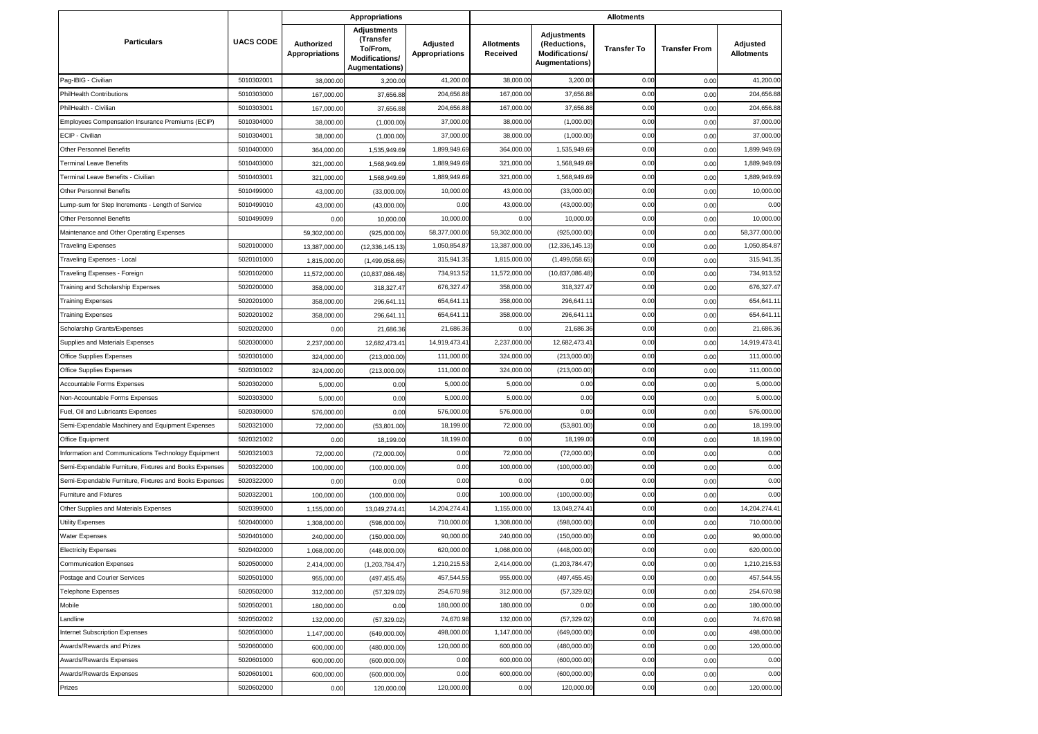|                                                        |                  |                                     | <b>Appropriations</b>                                                                  |                                   |                               |                                                                               | <b>Allotments</b>  |                      |                               |
|--------------------------------------------------------|------------------|-------------------------------------|----------------------------------------------------------------------------------------|-----------------------------------|-------------------------------|-------------------------------------------------------------------------------|--------------------|----------------------|-------------------------------|
| <b>Particulars</b>                                     | <b>UACS CODE</b> | Authorized<br><b>Appropriations</b> | <b>Adjustments</b><br>(Transfer<br>To/From,<br>Modifications/<br><b>Augmentations)</b> | Adjusted<br><b>Appropriations</b> | <b>Allotments</b><br>Received | <b>Adjustments</b><br>(Reductions,<br><b>Modifications/</b><br>Augmentations) | <b>Transfer To</b> | <b>Transfer From</b> | Adjusted<br><b>Allotments</b> |
| Pag-IBIG - Civilian                                    | 5010302001       | 38,000.00                           | 3,200.00                                                                               | 41,200.00                         | 38,000.00                     | 3,200.0                                                                       | 0.00               | 0.00                 | 41,200.00                     |
| <b>PhilHealth Contributions</b>                        | 5010303000       | 167,000.00                          | 37,656.88                                                                              | 204,656.88                        | 167,000.00                    | 37,656.88                                                                     | 0.00               | 0.00                 | 204,656.88                    |
| PhilHealth - Civilian                                  | 5010303001       | 167,000.00                          | 37,656.88                                                                              | 204,656.88                        | 167,000.00                    | 37,656.88                                                                     | 0.00               | 0.00                 | 204,656.88                    |
| Employees Compensation Insurance Premiums (ECIP)       | 5010304000       | 38,000.00                           | (1,000.00)                                                                             | 37,000.00                         | 38,000.00                     | (1,000.00)                                                                    | 0.00               | 0.00                 | 37,000.00                     |
| ECIP - Civilian                                        | 5010304001       | 38,000.00                           | (1,000.00)                                                                             | 37,000.00                         | 38,000.00                     | (1,000.00)                                                                    | 0.00               | 0.00                 | 37,000.00                     |
| Other Personnel Benefits                               | 5010400000       | 364,000.00                          | 1,535,949.69                                                                           | 1,899,949.69                      | 364,000.00                    | 1,535,949.6                                                                   | 0.00               | 0.00                 | 1,899,949.69                  |
| <b>Terminal Leave Benefits</b>                         | 5010403000       | 321,000.00                          | 1,568,949.69                                                                           | 1,889,949.69                      | 321,000.00                    | 1,568,949.69                                                                  | 0.00               | 0.00                 | 1,889,949.69                  |
| Ferminal Leave Benefits - Civilian                     | 5010403001       | 321,000.00                          | 1,568,949.69                                                                           | 1,889,949.6                       | 321,000.00                    | 1,568,949.6                                                                   | 0.00               | 0.00                 | 1,889,949.69                  |
| Other Personnel Benefits                               | 5010499000       | 43,000.00                           | (33,000.00)                                                                            | 10,000.00                         | 43,000.00                     | (33,000.00)                                                                   | 0.00               | 0.00                 | 10,000.00                     |
| Lump-sum for Step Increments - Length of Service       | 5010499010       | 43,000.00                           | (43,000.00)                                                                            | 0.00                              | 43,000.00                     | (43,000.00)                                                                   | 0.00               | 0.00                 | 0.00                          |
| Other Personnel Benefits                               | 5010499099       | 0.00                                | 10,000.00                                                                              | 10,000.00                         | 0.00                          | 10,000.00                                                                     | 0.00               | 0.00                 | 10,000.00                     |
| Maintenance and Other Operating Expenses               |                  | 59,302,000.00                       | (925,000.00)                                                                           | 58,377,000.00                     | 59,302,000.00                 | (925,000.00)                                                                  | 0.00               | 0.00                 | 58,377,000.00                 |
| <b>Traveling Expenses</b>                              | 5020100000       | 13,387,000.00                       | (12, 336, 145.13)                                                                      | 1,050,854.87                      | 13,387,000.00                 | (12, 336, 145.13)                                                             | 0.00               | 0.00                 | 1,050,854.87                  |
| Traveling Expenses - Local                             | 5020101000       | 1,815,000.00                        | (1,499,058.65)                                                                         | 315,941.35                        | 1,815,000.00                  | (1,499,058.65)                                                                | 0.00               | 0.00                 | 315,941.35                    |
| Traveling Expenses - Foreign                           | 5020102000       | 11,572,000.00                       | (10,837,086.48)                                                                        | 734,913.52                        | 11,572,000.00                 | (10,837,086.48                                                                | 0.00               | 0.00                 | 734,913.52                    |
| Training and Scholarship Expenses                      | 5020200000       | 358,000.00                          | 318,327.47                                                                             | 676,327.4                         | 358,000.00                    | 318,327.47                                                                    | 0.00               | 0.00                 | 676,327.47                    |
| <b>Training Expenses</b>                               | 5020201000       | 358,000.00                          | 296,641.1                                                                              | 654,641.1                         | 358,000.00                    | 296,641.1                                                                     | 0.00               | 0.00                 | 654,641.1                     |
| <b>Training Expenses</b>                               | 5020201002       | 358,000.00                          | 296,641.1                                                                              | 654,641.11                        | 358,000.00                    | 296,641.1                                                                     | 0.00               | 0.00                 | 654,641.11                    |
| Scholarship Grants/Expenses                            | 5020202000       | 0.00                                | 21,686.36                                                                              | 21,686.36                         | 0.00                          | 21,686.36                                                                     | 0.00               | 0.00                 | 21,686.36                     |
| Supplies and Materials Expenses                        | 5020300000       | 2,237,000.00                        | 12,682,473.41                                                                          | 14,919,473.4                      | 2,237,000.00                  | 12,682,473.4                                                                  | 0.00               | 0.00                 | 14,919,473.4                  |
| Office Supplies Expenses                               | 5020301000       | 324,000.00                          | (213,000.00)                                                                           | 111,000.00                        | 324,000.00                    | (213,000.00)                                                                  | 0.00               | 0.00                 | 111,000.00                    |
| Office Supplies Expenses                               | 5020301002       | 324,000.00                          | (213,000.00)                                                                           | 111,000.0                         | 324,000.00                    | (213,000.00)                                                                  | 0.00               | 0.00                 | 111,000.00                    |
| Accountable Forms Expenses                             | 5020302000       | 5,000.0                             | 0.00                                                                                   | 5,000.0                           | 5,000.00                      | 0.00                                                                          | 0.00               | 0.00                 | 5,000.00                      |
| Non-Accountable Forms Expenses                         | 5020303000       | 5,000.00                            | 0.00                                                                                   | 5,000.00                          | 5,000.00                      | 0.00                                                                          | 0.00               | 0.00                 | 5,000.00                      |
| Fuel, Oil and Lubricants Expenses                      | 5020309000       | 576,000.00                          | 0.00                                                                                   | 576,000.00                        | 576,000.00                    | 0.00                                                                          | 0.00               | 0.00                 | 576,000.00                    |
| Semi-Expendable Machinery and Equipment Expenses       | 5020321000       | 72,000.00                           | (53,801.00)                                                                            | 18,199.00                         | 72,000.00                     | (53,801.00                                                                    | 0.00               | 0.00                 | 18,199.00                     |
| Office Equipment                                       | 5020321002       | 0.00                                | 18,199.00                                                                              | 18,199.00                         | 0.00                          | 18,199.0                                                                      | 0.00               | 0.00                 | 18,199.00                     |
| Information and Communications Technology Equipment    | 5020321003       | 72,000.00                           | (72,000.00)                                                                            | 0.00                              | 72,000.00                     | (72,000.00)                                                                   | 0.00               | 0.00                 | 0.00                          |
| Semi-Expendable Furniture, Fixtures and Books Expenses | 5020322000       | 100,000.00                          | (100,000.00)                                                                           | 0.00                              | 100,000.00                    | (100,000.00)                                                                  | 0.00               | 0.00                 | 0.00                          |
| Semi-Expendable Furniture, Fixtures and Books Expenses | 5020322000       | 0.00                                | 0.00                                                                                   | 0.00                              | 0.00                          | 0.00                                                                          | 0.00               | 0.00                 | 0.00                          |
| Furniture and Fixtures                                 | 5020322001       | 100,000.00                          | (100,000.00)                                                                           | 0.00                              | 100,000.00                    | (100,000.00)                                                                  | 0.00               | 0.00                 | 0.00                          |
| Other Supplies and Materials Expenses                  | 5020399000       | 1,155,000.00                        | 13,049,274.41                                                                          | 14,204,274.41                     | 1,155,000.00                  | 13,049,274.4                                                                  | 0.00               | 0.00                 | 14,204,274.41                 |
| <b>Utility Expenses</b>                                | 5020400000       | 1,308,000.00                        | (598,000.00)                                                                           | 710,000.00                        | 1,308,000.00                  | (598,000.00)                                                                  | 0.00               | 0.00                 | 710,000.00                    |
| <b>Water Expenses</b>                                  | 5020401000       | 240,000.00                          | (150,000.00)                                                                           | 90,000.00                         | 240,000.00                    | (150,000.00)                                                                  | 0.00               | 0.00                 | 90,000.00                     |
| <b>Electricity Expenses</b>                            | 5020402000       | 1,068,000.00                        | (448,000.00)                                                                           | 620,000.00                        | 1,068,000.00                  | (448,000.00)                                                                  | 0.00               | 0.00                 | 620,000.00                    |
| <b>Communication Expenses</b>                          | 5020500000       | 2,414,000.00                        | (1,203,784.47)                                                                         | 1,210,215.53                      | 2,414,000.00                  | (1,203,784.47)                                                                | 0.00               | 0.00                 | 1,210,215.53                  |
| Postage and Courier Services                           | 5020501000       | 955,000.00                          | (497, 455.45)                                                                          | 457,544.55                        | 955,000.00                    | (497, 455.45)                                                                 | 0.00               | 0.00                 | 457,544.55                    |
| <b>Telephone Expenses</b>                              | 5020502000       | 312,000.00                          | (57, 329.02)                                                                           | 254,670.98                        | 312,000.00                    | (57, 329.02)                                                                  | 0.00               | 0.00                 | 254,670.98                    |
| Mobile                                                 | 5020502001       | 180,000.00                          | 0.00                                                                                   | 180,000.00                        | 180,000.00                    | 0.00                                                                          | 0.00               | 0.00                 | 180,000.00                    |
| Landline                                               | 5020502002       | 132,000.00                          | (57, 329.02)                                                                           | 74,670.98                         | 132,000.00                    | (57, 329.02)                                                                  | 0.00               | 0.00                 | 74,670.98                     |
| Internet Subscription Expenses                         | 5020503000       | 1,147,000.00                        | (649,000.00)                                                                           | 498,000.00                        | 1,147,000.00                  | (649,000.00)                                                                  | 0.00               | 0.00                 | 498,000.00                    |
| Awards/Rewards and Prizes                              | 5020600000       | 600,000.00                          | (480,000.00)                                                                           | 120,000.00                        | 600,000.00                    | (480,000.00)                                                                  | 0.00               | 0.00                 | 120,000.00                    |
| Awards/Rewards Expenses                                | 5020601000       | 600,000.00                          | (600,000.00)                                                                           | 0.00                              | 600,000.00                    | (600,000.00)                                                                  | 0.00               | 0.00                 | 0.00                          |
| Awards/Rewards Expenses                                | 5020601001       | 600,000.00                          | (600,000.00)                                                                           | 0.00                              | 600,000.00                    | (600,000.00)                                                                  | 0.00               | 0.00                 | 0.00                          |
| Prizes                                                 | 5020602000       | 0.00                                | 120,000.00                                                                             | 120,000.00                        | 0.00                          | 120,000.00                                                                    | 0.00               | 0.00                 | 120,000.00                    |
|                                                        |                  |                                     |                                                                                        |                                   |                               |                                                                               |                    |                      |                               |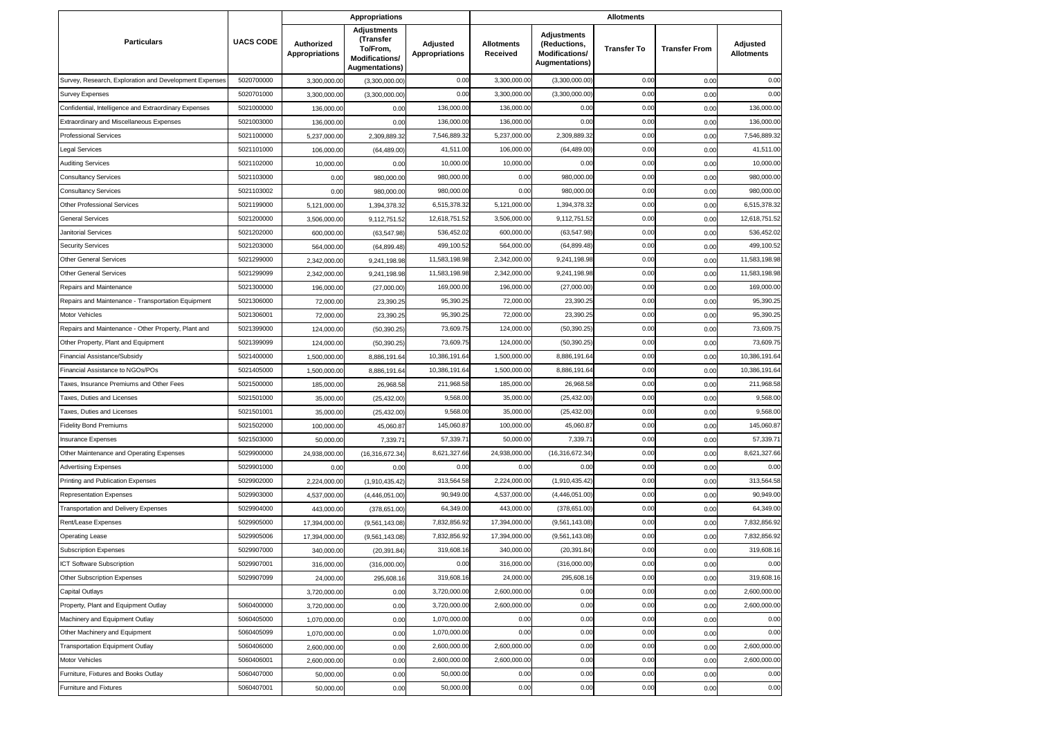|                                                        |                  |                                     | <b>Appropriations</b>                                                                  |                                   |                               |                                                                                      | <b>Allotments</b>  |                      |                               |
|--------------------------------------------------------|------------------|-------------------------------------|----------------------------------------------------------------------------------------|-----------------------------------|-------------------------------|--------------------------------------------------------------------------------------|--------------------|----------------------|-------------------------------|
| <b>Particulars</b>                                     | <b>UACS CODE</b> | Authorized<br><b>Appropriations</b> | <b>Adjustments</b><br>(Transfer<br>To/From,<br>Modifications/<br><b>Augmentations)</b> | Adjusted<br><b>Appropriations</b> | <b>Allotments</b><br>Received | <b>Adjustments</b><br>(Reductions,<br><b>Modifications/</b><br><b>Augmentations)</b> | <b>Transfer To</b> | <b>Transfer From</b> | Adjusted<br><b>Allotments</b> |
| Survey, Research, Exploration and Development Expenses | 5020700000       | 3,300,000.0                         | (3,300,000.00)                                                                         | 0.00                              | 3,300,000.00                  | (3,300,000.00)                                                                       | 0.00               | 0.00                 | 0.00                          |
| <b>Survey Expenses</b>                                 | 5020701000       | 3,300,000.00                        | (3,300,000.00)                                                                         | 0.00                              | 3,300,000.00                  | (3,300,000.00)                                                                       | 0.00               | 0.00                 | 0.00                          |
| Confidential, Intelligence and Extraordinary Expenses  | 5021000000       | 136,000.00                          | 0.00                                                                                   | 136,000.00                        | 136,000.00                    | 0.00                                                                                 | 0.00               | 0.00                 | 136,000.00                    |
| Extraordinary and Miscellaneous Expenses               | 5021003000       | 136,000.0                           | 0.00                                                                                   | 136,000.00                        | 136,000.00                    | 0.00                                                                                 | 0.00               | 0.00                 | 136,000.00                    |
| <b>Professional Services</b>                           | 5021100000       | 5,237,000.00                        | 2,309,889.32                                                                           | 7,546,889.32                      | 5,237,000.00                  | 2,309,889.32                                                                         | 0.00               | 0.00                 | 7,546,889.32                  |
| Legal Services                                         | 5021101000       | 106,000.0                           | (64, 489.00)                                                                           | 41,511.00                         | 106,000.00                    | (64, 489.00)                                                                         | 0.00               | 0.00                 | 41,511.00                     |
| <b>Auditing Services</b>                               | 5021102000       | 10,000.00                           | 0.00                                                                                   | 10,000.00                         | 10,000.00                     | 0.00                                                                                 | 0.00               | 0.00                 | 10,000.00                     |
| <b>Consultancy Services</b>                            | 5021103000       | 0.00                                | 980,000.00                                                                             | 980,000.0                         | 0.00                          | 980,000.00                                                                           | 0.00               | 0.00                 | 980,000.00                    |
| <b>Consultancy Services</b>                            | 5021103002       | 0.00                                | 980,000.00                                                                             | 980,000.00                        | 0.00                          | 980,000.00                                                                           | 0.00               | 0.00                 | 980,000.00                    |
| <b>Other Professional Services</b>                     | 5021199000       | 5,121,000.00                        | 1,394,378.32                                                                           | 6,515,378.32                      | 5,121,000.00                  | 1,394,378.32                                                                         | 0.00               | 0.00                 | 6,515,378.32                  |
| <b>General Services</b>                                | 5021200000       | 3,506,000.0                         | 9,112,751.52                                                                           | 12,618,751.52                     | 3,506,000.00                  | 9,112,751.52                                                                         | 0.00               | 0.00                 | 12,618,751.52                 |
| Janitorial Services                                    | 5021202000       | 600,000.0                           | (63, 547.98)                                                                           | 536,452.02                        | 600,000.00                    | (63, 547.98)                                                                         | 0.00               | 0.00                 | 536,452.02                    |
| <b>Security Services</b>                               | 5021203000       | 564,000.00                          | (64, 899.48)                                                                           | 499,100.52                        | 564,000.00                    | (64, 899.48)                                                                         | 0.00               | 0.00                 | 499,100.52                    |
| <b>Other General Services</b>                          | 5021299000       | 2,342,000.00                        | 9,241,198.98                                                                           | 11,583,198.98                     | 2,342,000.00                  | 9,241,198.98                                                                         | 0.00               | 0.00                 | 11,583,198.98                 |
| <b>Other General Services</b>                          | 5021299099       | 2,342,000.0                         | 9,241,198.98                                                                           | 11,583,198.98                     | 2,342,000.00                  | 9,241,198.98                                                                         | 0.00               | 0.00                 | 11,583,198.98                 |
| Repairs and Maintenance                                | 5021300000       | 196,000.00                          | (27,000.00)                                                                            | 169,000.00                        | 196,000.00                    | (27,000.00)                                                                          | 0.00               | 0.00                 | 169,000.00                    |
| Repairs and Maintenance - Transportation Equipment     | 5021306000       | 72,000.00                           | 23,390.25                                                                              | 95,390.25                         | 72,000.00                     | 23,390.25                                                                            | 0.00               | 0.00                 | 95,390.25                     |
| Motor Vehicles                                         | 5021306001       | 72,000.00                           | 23,390.25                                                                              | 95,390.25                         | 72,000.00                     | 23,390.25                                                                            | 0.00               | 0.00                 | 95,390.25                     |
| Repairs and Maintenance - Other Property, Plant and    | 5021399000       | 124,000.00                          | (50, 390.25)                                                                           | 73,609.75                         | 124,000.00                    | (50, 390.25)                                                                         | 0.00               | 0.00                 | 73,609.75                     |
| Other Property, Plant and Equipment                    | 5021399099       | 124,000.00                          | (50, 390.25)                                                                           | 73,609.75                         | 124,000.00                    | (50, 390.25)                                                                         | 0.00               | 0.00                 | 73,609.7                      |
| Financial Assistance/Subsidy                           | 5021400000       | 1,500,000.00                        | 8,886,191.64                                                                           | 10,386,191.6                      | 1,500,000.00                  | 8,886,191.6                                                                          | 0.00               | 0.00                 | 10,386,191.6                  |
| Financial Assistance to NGOs/POs                       | 5021405000       | 1,500,000.0                         | 8,886,191.64                                                                           | 10,386,191.64                     | 1,500,000.00                  | 8,886,191.6                                                                          | 0.00               | 0.00                 | 10,386,191.64                 |
| Taxes, Insurance Premiums and Other Fees               | 5021500000       | 185,000.0                           | 26,968.58                                                                              | 211,968.58                        | 185,000.00                    | 26,968.58                                                                            | 0.00               | 0.00                 | 211,968.58                    |
| Taxes, Duties and Licenses                             | 5021501000       | 35,000.00                           | (25, 432.00)                                                                           | 9,568.00                          | 35,000.00                     | (25, 432.00)                                                                         | 0.00               | 0.00                 | 9,568.00                      |
| Taxes, Duties and Licenses                             | 5021501001       | 35,000.00                           | (25, 432.00)                                                                           | 9,568.00                          | 35,000.00                     | (25, 432.00)                                                                         | 0.00               | 0.00                 | 9,568.00                      |
| <b>Fidelity Bond Premiums</b>                          | 5021502000       | 100,000.00                          | 45,060.87                                                                              | 145,060.87                        | 100,000.00                    | 45,060.87                                                                            | 0.00               | 0.00                 | 145,060.87                    |
| <b>Insurance Expenses</b>                              | 5021503000       | 50,000.00                           | 7,339.71                                                                               | 57,339.7                          | 50,000.00                     | 7,339.7                                                                              | 0.00               | 0.00                 | 57,339.7                      |
| Other Maintenance and Operating Expenses               | 5029900000       | 24,938,000.00                       | (16,316,672.34)                                                                        | 8,621,327.66                      | 24,938,000.00                 | (16,316,672.34                                                                       | 0.00               | 0.00                 | 8,621,327.66                  |
| <b>Advertising Expenses</b>                            | 5029901000       | 0.00                                | 0.00                                                                                   | 0.00                              | 0.00                          | 0.00                                                                                 | 0.00               | 0.00                 | 0.00                          |
| Printing and Publication Expenses                      | 5029902000       | 2,224,000.00                        | (1,910,435.42)                                                                         | 313,564.58                        | 2,224,000.00                  | (1,910,435.42)                                                                       | 0.00               | 0.00                 | 313,564.58                    |
| <b>Representation Expenses</b>                         | 5029903000       | 4,537,000.00                        | (4,446,051.00)                                                                         | 90,949.00                         | 4,537,000.00                  | (4,446,051.00)                                                                       | 0.00               | 0.00                 | 90,949.00                     |
| Transportation and Delivery Expenses                   | 5029904000       | 443,000.00                          | (378, 651.00)                                                                          | 64,349.00                         | 443,000.00                    | (378, 651.00)                                                                        | 0.00               | 0.00                 | 64,349.00                     |
| Rent/Lease Expenses                                    | 5029905000       | 17,394,000.00                       | (9,561,143.08)                                                                         | 7,832,856.92                      | 17,394,000.00                 | (9,561,143.08)                                                                       | 0.00               | 0.00                 | 7,832,856.92                  |
| <b>Operating Lease</b>                                 | 5029905006       | 17,394,000.00                       | (9,561,143.08)                                                                         | 7,832,856.92                      | 17,394,000.00                 | (9,561,143.08)                                                                       | 0.00               | 0.00                 | 7,832,856.92                  |
| <b>Subscription Expenses</b>                           | 5029907000       | 340,000.00                          | (20, 391.84)                                                                           | 319,608.16                        | 340,000.00                    | (20, 391.84)                                                                         | 0.00               | 0.00                 | 319,608.16                    |
| <b>ICT Software Subscription</b>                       | 5029907001       | 316,000.00                          | (316,000.00)                                                                           | 0.00                              | 316,000.00                    | (316,000,00)                                                                         | 0.00               | 0.00                 | 0.00                          |
| Other Subscription Expenses                            | 5029907099       | 24,000.00                           | 295,608.16                                                                             | 319,608.16                        | 24,000.00                     | 295,608.16                                                                           | 0.00               | 0.00                 | 319,608.16                    |
| <b>Capital Outlays</b>                                 |                  | 3,720,000.00                        | 0.00                                                                                   | 3,720,000.00                      | 2,600,000.00                  | 0.00                                                                                 | 0.00               | 0.00                 | 2,600,000.00                  |
| Property, Plant and Equipment Outlay                   | 5060400000       | 3,720,000.00                        | 0.00                                                                                   | 3,720,000.00                      | 2,600,000.00                  | 0.00                                                                                 | 0.00               | 0.00                 | 2,600,000.00                  |
| Machinery and Equipment Outlay                         | 5060405000       | 1,070,000.00                        | 0.00                                                                                   | 1,070,000.00                      | 0.00                          | 0.00                                                                                 | 0.00               | 0.00                 | 0.00                          |
| Other Machinery and Equipment                          | 5060405099       | 1,070,000.00                        | 0.00                                                                                   | 1,070,000.00                      | 0.00                          | 0.00                                                                                 | 0.00               | 0.00                 | 0.00                          |
| <b>Transportation Equipment Outlay</b>                 | 5060406000       | 2,600,000.00                        | 0.00                                                                                   | 2,600,000.00                      | 2,600,000.00                  | 0.00                                                                                 | 0.00               | 0.00                 | 2,600,000.00                  |
| <b>Motor Vehicles</b>                                  | 5060406001       | 2,600,000.00                        | 0.00                                                                                   | 2,600,000.00                      | 2,600,000.00                  | 0.00                                                                                 | 0.00               | 0.00                 | 2,600,000.00                  |
| Furniture, Fixtures and Books Outlay                   | 5060407000       | 50,000.00                           | 0.00                                                                                   | 50,000.00                         | 0.00                          | 0.00                                                                                 | 0.00               | 0.00                 | 0.00                          |
| Furniture and Fixtures                                 | 5060407001       | 50,000.00                           | 0.00                                                                                   | 50,000.00                         | 0.00                          | 0.00                                                                                 | 0.00               | 0.00                 | 0.00                          |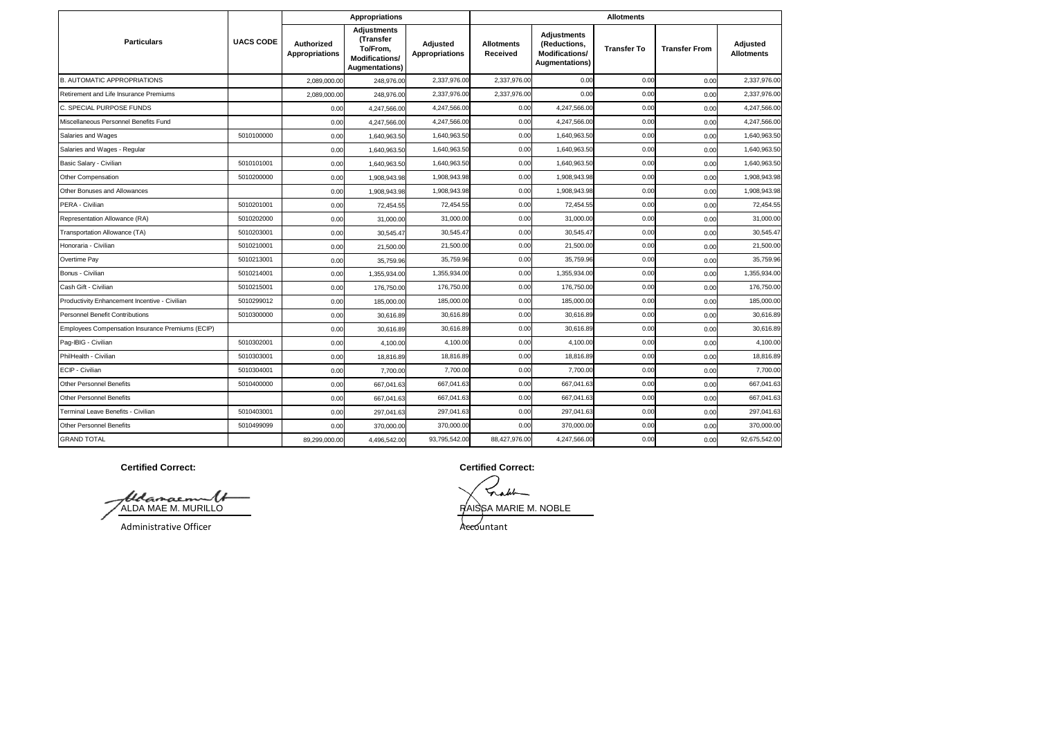|                                                  |                  |                                     | <b>Appropriations</b>                                                                  |                                   | <b>Allotments</b>             |                                                                               |                    |                      |                               |  |  |
|--------------------------------------------------|------------------|-------------------------------------|----------------------------------------------------------------------------------------|-----------------------------------|-------------------------------|-------------------------------------------------------------------------------|--------------------|----------------------|-------------------------------|--|--|
| <b>Particulars</b>                               | <b>UACS CODE</b> | Authorized<br><b>Appropriations</b> | <b>Adjustments</b><br>(Transfer<br>To/From.<br>Modifications/<br><b>Augmentations)</b> | Adjusted<br><b>Appropriations</b> | <b>Allotments</b><br>Received | <b>Adjustments</b><br>(Reductions,<br>Modifications/<br><b>Augmentations)</b> | <b>Transfer To</b> | <b>Transfer From</b> | Adjusted<br><b>Allotments</b> |  |  |
| <b>B. AUTOMATIC APPROPRIATIONS</b>               |                  | 2,089,000.00                        | 248,976.00                                                                             | 2,337,976.00                      | 2,337,976.00                  | 0.00                                                                          | 0.00               | 0.00                 | 2,337,976.00                  |  |  |
| Retirement and Life Insurance Premiums           |                  | 2,089,000.00                        | 248,976.00                                                                             | 2,337,976.00                      | 2,337,976.00                  | 0.00                                                                          | 0.00               | 0.00                 | 2.337.976.00                  |  |  |
| C. SPECIAL PURPOSE FUNDS                         |                  | 0.00                                | 4,247,566.00                                                                           | 4,247,566.00                      | 0.00                          | 4,247,566.00                                                                  | 0.00               | 0.00                 | 4,247,566.00                  |  |  |
| Miscellaneous Personnel Benefits Fund            |                  | 0.00                                | 4,247,566.00                                                                           | 4,247,566.00                      | 0.00                          | 4,247,566.00                                                                  | 0.00               | 0.00                 | 4,247,566.00                  |  |  |
| Salaries and Wages                               | 5010100000       | 0.00                                | 1,640,963.50                                                                           | 1,640,963.50                      | 0.00                          | 1,640,963.50                                                                  | 0.00               | 0.00                 | 1,640,963.50                  |  |  |
| Salaries and Wages - Regular                     |                  | 0.00                                | 1,640,963.50                                                                           | 1,640,963.50                      | 0.00                          | 1,640,963.50                                                                  | 0.00               | 0.00                 | 1,640,963.50                  |  |  |
| Basic Salary - Civilian                          | 5010101001       | 0.00                                | 1,640,963.50                                                                           | 1,640,963.50                      | 0.00                          | 1,640,963.50                                                                  | 0.00               | 0.00                 | 1,640,963.50                  |  |  |
| Other Compensation                               | 5010200000       | 0.00                                | 1,908,943.98                                                                           | 1,908,943.98                      | 0.00                          | 1,908,943.98                                                                  | 0.00               | 0.00                 | 1,908,943.98                  |  |  |
| Other Bonuses and Allowances                     |                  | 0.00                                | 1,908,943.98                                                                           | 1.908.943.98                      | 0.00                          | 1,908,943.98                                                                  | 0.00               | 0.00                 | 1,908,943.98                  |  |  |
| PERA - Civilian                                  | 5010201001       | 0.00                                | 72,454.55                                                                              | 72,454.55                         | 0.00                          | 72,454.55                                                                     | 0.00               | 0.00                 | 72,454.55                     |  |  |
| Representation Allowance (RA)                    | 5010202000       | 0.00                                | 31,000.00                                                                              | 31,000.00                         | 0.00                          | 31,000.00                                                                     | 0.00               | 0.00                 | 31,000.00                     |  |  |
| Transportation Allowance (TA)                    | 5010203001       | 0.00                                | 30,545.47                                                                              | 30,545.47                         | 0.00                          | 30,545.47                                                                     | 0.00               | 0.00                 | 30,545.47                     |  |  |
| Honoraria - Civilian                             | 5010210001       | 0.00                                | 21,500.00                                                                              | 21,500.00                         | 0.00                          | 21,500.00                                                                     | 0.00               | 0.00                 | 21,500.00                     |  |  |
| Overtime Pay                                     | 5010213001       | 0.00                                | 35,759.96                                                                              | 35,759.96                         | 0.00                          | 35,759.96                                                                     | 0.00               | 0.00                 | 35,759.96                     |  |  |
| Bonus - Civilian                                 | 5010214001       | 0.00                                | 1,355,934.00                                                                           | 1,355,934.00                      | 0.00                          | 1,355,934.00                                                                  | 0.00               | 0.00                 | 1,355,934.00                  |  |  |
| Cash Gift - Civilian                             | 5010215001       | 0.00                                | 176,750.00                                                                             | 176,750.00                        | 0.00                          | 176,750.00                                                                    | 0.00               | 0.00                 | 176,750.00                    |  |  |
| Productivity Enhancement Incentive - Civilian    | 5010299012       | 0.00                                | 185,000.00                                                                             | 185,000.00                        | 0.00                          | 185,000.00                                                                    | 0.00               | 0.00                 | 185,000.00                    |  |  |
| Personnel Benefit Contributions                  | 5010300000       | 0.00                                | 30.616.89                                                                              | 30,616.89                         | 0.00                          | 30,616.89                                                                     | 0.00               | 0.00                 | 30,616.89                     |  |  |
| Employees Compensation Insurance Premiums (ECIP) |                  | 0.00                                | 30,616.89                                                                              | 30,616.89                         | 0.00                          | 30,616.89                                                                     | 0.00               | 0.00                 | 30,616.89                     |  |  |
| Paq-IBIG - Civilian                              | 5010302001       | 0.00                                | 4.100.00                                                                               | 4,100.00                          | 0.00                          | 4,100.00                                                                      | 0.00               | 0.00                 | 4,100.00                      |  |  |
| PhilHealth - Civilian                            | 5010303001       | 0.00                                | 18,816.89                                                                              | 18,816.89                         | 0.00                          | 18,816.89                                                                     | 0.00               | 0.00                 | 18,816.89                     |  |  |
| ECIP - Civilian                                  | 5010304001       | 0.00                                | 7.700.00                                                                               | 7,700.00                          | 0.00                          | 7,700.00                                                                      | 0.00               | 0.00                 | 7,700.00                      |  |  |
| <b>Other Personnel Benefits</b>                  | 5010400000       | 0.00                                | 667,041.63                                                                             | 667,041.63                        | 0.00                          | 667,041.63                                                                    | 0.00               | 0.00                 | 667,041.63                    |  |  |
| <b>Other Personnel Benefits</b>                  |                  | 0.00                                | 667,041.63                                                                             | 667,041.63                        | 0.00                          | 667,041.63                                                                    | 0.00               | 0.00                 | 667,041.63                    |  |  |
| Terminal Leave Benefits - Civilian               | 5010403001       | 0.00                                | 297,041.63                                                                             | 297,041.63                        | 0.00                          | 297,041.63                                                                    | 0.00               | 0.00                 | 297,041.63                    |  |  |
| Other Personnel Benefits                         | 5010499099       | 0.00                                | 370,000.00                                                                             | 370,000.00                        | 0.00                          | 370,000.00                                                                    | 0.00               | 0.00                 | 370,000.00                    |  |  |
| <b>GRAND TOTAL</b>                               |                  | 89,299,000.00                       | 4,496,542.00                                                                           | 93,795,542.00                     | 88,427,976.00                 | 4,247,566.00                                                                  | 0.00               | 0.00                 | 92,675,542.00                 |  |  |

Alderman M<br>ALDA MAE M. MURILLO RAISSA MARIE M. NOBLE

Administrative Officer Accountant

**Certified Correct: Certified Correct:**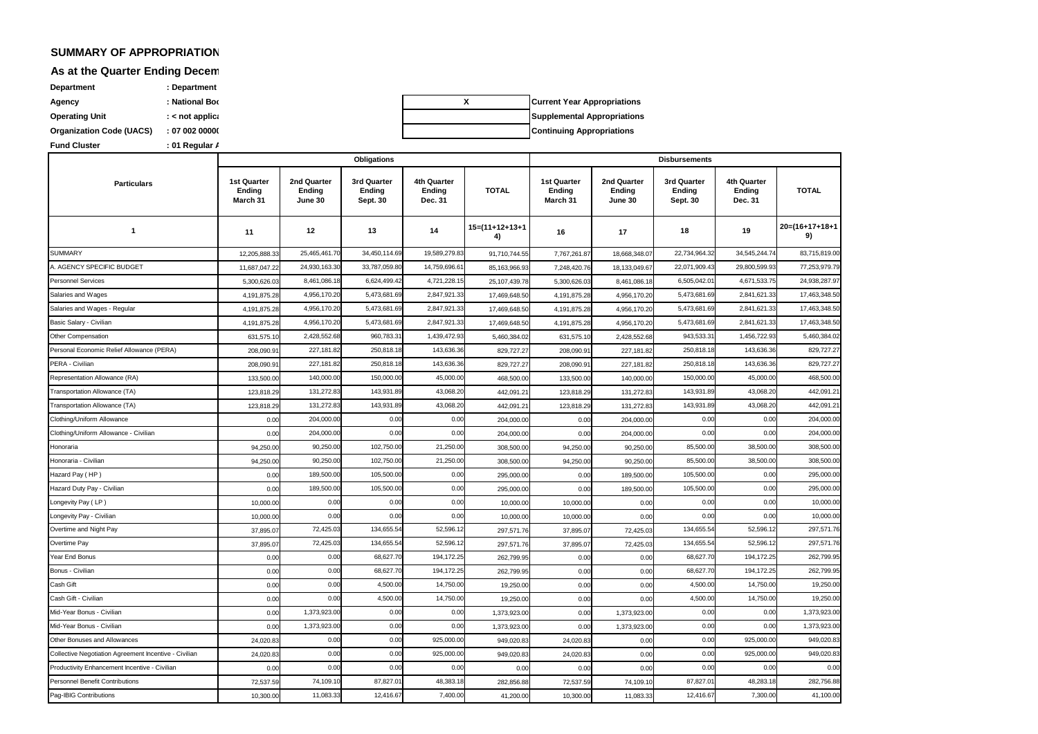### **SUMMARY OF APPROPRIATIONS, ALLOTMENTS, OBLIGATIONS, ALLOTMENTS, OBLIGATIONS, AND BALANCES BY OBSIGLES BY OBSIGLES BY OBSIGLES BY OBSIGLES BY OBSIGLES BY OBSIGLES BY OBSIGLES BY OBSIGLES BY OBSIGLES BY OBSIGLES BY OBSIGLES**

## **As at the Quarter Ending Decem**

**Fund Cluster 1996 contrary to the Cluster contrary Property Property Property Organization Code (UACS) : 07 002 0000000 Department because (Department**) **Agency because Box Box Development Box Operating Unit because the contract of the Special Special Angle 3 and 2 applicable 2 and 2 applicable 2 applicable 2 applicable 2 applicable 2 applicable 2 applicable 2 applicable 2 applicable 2 applicable 2 applicable** 

**Continuing Appropriations X Current Year Appropriations Supplemental Appropriations**

|                                                       |                                          |                                  | Obligations                       |                                  |                        |                                          |                                         | <b>Disbursements</b>              |                                  |                      |
|-------------------------------------------------------|------------------------------------------|----------------------------------|-----------------------------------|----------------------------------|------------------------|------------------------------------------|-----------------------------------------|-----------------------------------|----------------------------------|----------------------|
| <b>Particulars</b>                                    | <b>1st Quarter</b><br>Ending<br>March 31 | 2nd Quarter<br>Ending<br>June 30 | 3rd Quarter<br>Ending<br>Sept. 30 | 4th Quarter<br>Ending<br>Dec. 31 | <b>TOTAL</b>           | <b>1st Quarter</b><br>Ending<br>March 31 | 2nd Quarter<br><b>Ending</b><br>June 30 | 3rd Quarter<br>Ending<br>Sept. 30 | 4th Quarter<br>Ending<br>Dec. 31 | <b>TOTAL</b>         |
| $\mathbf{1}$                                          | 11                                       | 12                               | 13                                | 14                               | $15=(11+12+13+1$<br>4) | 16                                       | 17                                      | 18                                | 19                               | 20=(16+17+18+1<br>9) |
| <b>SUMMARY</b>                                        | 12,205,888.33                            | 25,465,461.7                     | 34,450,114.69                     | 19,589,279.8                     | 91,710,744.55          | 7,767,261.87                             | 18,668,348.07                           | 22,734,964.3                      | 34,545,244.74                    | 83,715,819.00        |
| A. AGENCY SPECIFIC BUDGET                             | 11,687,047.22                            | 24,930,163.3                     | 33,787,059.80                     | 14,759,696.6                     | 85,163,966.9           | 7,248,420.76                             | 18,133,049.67                           | 22,071,909.43                     | 29,800,599.93                    | 77,253,979.79        |
| <b>Personnel Services</b>                             | 5,300,626.03                             | 8,461,086.1                      | 6,624,499.42                      | 4,721,228.1                      | 25,107,439.78          | 5,300,626.03                             | 8,461,086.18                            | 6,505,042.01                      | 4,671,533.75                     | 24,938,287.97        |
| Salaries and Wages                                    | 4,191,875.28                             | 4,956,170.2                      | 5,473,681.69                      | 2,847,921.3                      | 17,469,648.50          | 4,191,875.28                             | 4,956,170.20                            | 5,473,681.69                      | 2,841,621.33                     | 17,463,348.50        |
| Salaries and Wages - Regular                          | 4,191,875.28                             | 4,956,170.2                      | 5,473,681.69                      | 2,847,921.3                      | 17,469,648.50          | 4,191,875.28                             | 4,956,170.20                            | 5,473,681.69                      | 2,841,621.3                      | 17,463,348.50        |
| Basic Salary - Civilian                               | 4,191,875.28                             | 4,956,170.2                      | 5,473,681.69                      | 2,847,921.3                      | 17,469,648.50          | 4,191,875.28                             | 4,956,170.20                            | 5,473,681.69                      | 2,841,621.3                      | 17,463,348.50        |
| Other Compensation                                    | 631.575.1                                | 2,428,552.68                     | 960,783.31                        | 1,439,472.9                      | 5,460,384.02           | 631,575.1                                | 2,428,552.68                            | 943,533.31                        | 1,456,722.93                     | 5,460,384.02         |
| Personal Economic Relief Allowance (PERA)             | 208,090.91                               | 227,181.82                       | 250,818.18                        | 143,636.36                       | 829,727.2              | 208,090.91                               | 227,181.82                              | 250,818.18                        | 143,636.36                       | 829,727.27           |
| PERA - Civilian                                       | 208,090.91                               | 227,181.82                       | 250,818.18                        | 143,636.36                       | 829,727.27             | 208,090.91                               | 227,181.82                              | 250,818.18                        | 143,636.36                       | 829,727.27           |
| Representation Allowance (RA)                         | 133,500.00                               | 140,000.00                       | 150,000.00                        | 45,000.0                         | 468,500.00             | 133,500.00                               | 140,000.00                              | 150,000.00                        | 45,000.00                        | 468,500.00           |
| Transportation Allowance (TA)                         | 123.818.29                               | 131,272.8                        | 143,931.89                        | 43,068.2                         | 442.091.2              | 123.818.29                               | 131,272.83                              | 143,931.89                        | 43,068.2                         | 442,091.21           |
| Transportation Allowance (TA)                         | 123,818.29                               | 131,272.8                        | 143,931.89                        | 43,068.2                         | 442,091.2              | 123,818.29                               | 131,272.83                              | 143,931.89                        | 43,068.20                        | 442,091.2            |
| Clothing/Uniform Allowance                            | 0.00                                     | 204,000.0                        | 0.00                              | 0.00                             | 204,000.0              | 0.00                                     | 204,000.00                              | 0.00                              | 0.00                             | 204,000.00           |
| Clothing/Uniform Allowance - Civilian                 | 0.00                                     | 204,000.0                        | 0.00                              | 0.00                             | 204,000.00             | 0.00                                     | 204,000.00                              | 0.00                              | 0.00                             | 204,000.00           |
| Honoraria                                             | 94,250.0                                 | 90,250.0                         | 102,750.00                        | 21,250.0                         | 308,500.0              | 94,250.0                                 | 90,250.00                               | 85,500.00                         | 38,500.0                         | 308,500.00           |
| Honoraria - Civilian                                  | 94,250.00                                | 90,250.00                        | 102,750.00                        | 21,250.00                        | 308,500.00             | 94,250.00                                | 90,250.00                               | 85,500.00                         | 38,500.0                         | 308,500.00           |
| Hazard Pay (HP)                                       | 0.00                                     | 189,500.00                       | 105,500.00                        | 0.00                             | 295,000.00             | 0.00                                     | 189,500.00                              | 105,500.00                        | 0.00                             | 295,000.00           |
| Hazard Duty Pay - Civilian                            | 0.00                                     | 189,500.00                       | 105,500.00                        | 0.00                             | 295,000.00             | 0.00                                     | 189,500.00                              | 105,500.00                        | 0.00                             | 295,000.00           |
| Longevity Pay (LP)                                    | 10,000.00                                | 0.00                             | 0.00                              | 0.00                             | 10,000.0               | 10,000.00                                | 0.00                                    | 0.00                              | 0.00                             | 10,000.00            |
| Longevity Pay - Civilian                              | 10,000.00                                | 0.00                             | 0.00                              | 0.00                             | 10,000.0               | 10,000.00                                | 0.00                                    | 0.00                              | 0.00                             | 10,000.00            |
| Overtime and Night Pay                                | 37,895.07                                | 72,425.03                        | 134,655.54                        | 52,596.1                         | 297,571.76             | 37,895.07                                | 72,425.03                               | 134,655.54                        | 52,596.12                        | 297,571.76           |
| Overtime Pay                                          | 37,895.07                                | 72,425.03                        | 134,655.54                        | 52,596.1                         | 297,571.76             | 37,895.07                                | 72,425.03                               | 134,655.54                        | 52,596.12                        | 297,571.76           |
| Year End Bonus                                        | 0.00                                     | 0.00                             | 68,627.7                          | 194,172.2                        | 262,799.95             | 0.00                                     | 0.00                                    | 68,627.7                          | 194, 172.2                       | 262,799.95           |
| Bonus - Civilian                                      | 0.00                                     | 0.00                             | 68,627.70                         | 194, 172.2                       | 262,799.95             | 0.00                                     | 0.00                                    | 68,627.70                         | 194,172.2                        | 262,799.95           |
| Cash Gift                                             | 0.00                                     | 0.00                             | 4,500.00                          | 14,750.00                        | 19,250.00              | 0.00                                     | 0.00                                    | 4,500.00                          | 14,750.00                        | 19,250.00            |
| Cash Gift - Civilian                                  | 0.00                                     | 0.00                             | 4,500.00                          | 14,750.00                        | 19,250.00              | 0.00                                     | 0.00                                    | 4,500.00                          | 14,750.00                        | 19,250.00            |
| Mid-Year Bonus - Civilian                             | 0.00                                     | 1,373,923.0                      | 0.00                              | 0.00                             | 1,373,923.00           | 0.00                                     | 1,373,923.00                            | 0.00                              | 0.00                             | 1,373,923.00         |
| Mid-Year Bonus - Civilian                             | 0.00                                     | 1,373,923.00                     | 0.00                              | 0.00                             | 1,373,923.00           | 0.00                                     | 1,373,923.00                            | 0.00                              | 0.00                             | 1,373,923.00         |
| Other Bonuses and Allowances                          | 24,020.83                                | 0.00                             | 0.00                              | 925,000.0                        | 949,020.8              | 24,020.83                                | 0.00                                    | 0.00                              | 925,000.00                       | 949,020.83           |
| Collective Negotiation Agreement Incentive - Civilian | 24,020.83                                | 0.00                             | 0.00                              | 925,000.0                        | 949.020.8              | 24,020.83                                | 0.00                                    | 0.00                              | 925,000.00                       | 949,020.83           |
| Productivity Enhancement Incentive - Civilian         | 0.00                                     | 0.00                             | 0.00                              | 0.00                             | 0.00                   | 0.00                                     | 0.00                                    | 0.00                              | 0.00                             | 0.00                 |
| Personnel Benefit Contributions                       | 72,537.59                                | 74,109.1                         | 87,827.01                         | 48,383.1                         | 282,856.8              | 72,537.59                                | 74,109.10                               | 87,827.01                         | 48,283.18                        | 282,756.88           |
| Pag-IBIG Contributions                                | 10,300.00                                | 11,083.33                        | 12,416.67                         | 7,400.00                         | 41,200.00              | 10,300.00                                | 11,083.33                               | 12,416.67                         | 7,300.00                         | 41,100.00            |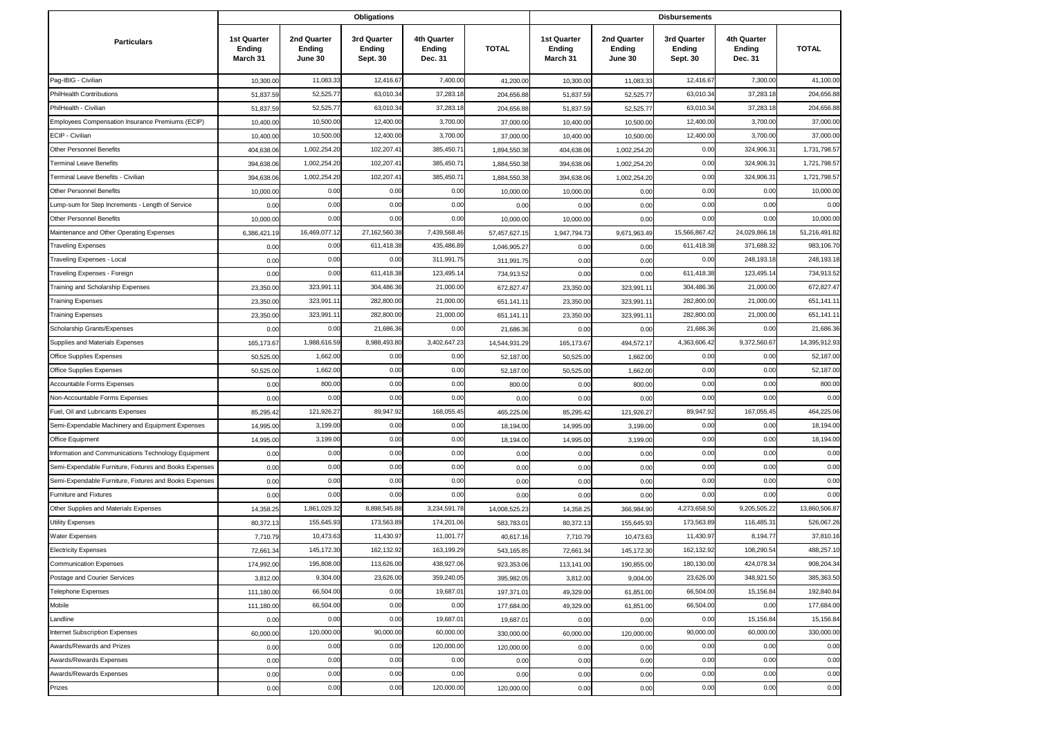|                                                        |                                          |                                  |                                   | <b>Disbursements</b>             |               |                                          |                                  |                                   |                                  |               |
|--------------------------------------------------------|------------------------------------------|----------------------------------|-----------------------------------|----------------------------------|---------------|------------------------------------------|----------------------------------|-----------------------------------|----------------------------------|---------------|
| <b>Particulars</b>                                     | <b>1st Quarter</b><br>Ending<br>March 31 | 2nd Quarter<br>Ending<br>June 30 | 3rd Quarter<br>Ending<br>Sept. 30 | 4th Quarter<br>Ending<br>Dec. 31 | <b>TOTAL</b>  | <b>1st Quarter</b><br>Ending<br>March 31 | 2nd Quarter<br>Ending<br>June 30 | 3rd Quarter<br>Ending<br>Sept. 30 | 4th Quarter<br>Ending<br>Dec. 31 | <b>TOTAL</b>  |
| Pag-IBIG - Civilian                                    | 10,300.00                                | 11,083.33                        | 12,416.67                         | 7,400.00                         | 41,200.00     | 10,300.00                                | 11,083.33                        | 12,416.67                         | 7,300.00                         | 41,100.00     |
| PhilHealth Contributions                               | 51,837.5                                 | 52,525.7                         | 63,010.34                         | 37,283.1                         | 204,656.88    | 51,837.5                                 | 52,525.77                        | 63,010.34                         | 37,283.1                         | 204,656.88    |
| PhilHealth - Civilian                                  | 51,837.5                                 | 52,525.7                         | 63,010.34                         | 37,283.1                         | 204,656.8     | 51,837.5                                 | 52,525.77                        | 63,010.34                         | 37,283.1                         | 204,656.88    |
| Employees Compensation Insurance Premiums (ECIP)       | 10,400.0                                 | 10,500.00                        | 12,400.00                         | 3,700.00                         | 37,000.00     | 10,400.0                                 | 10,500.0                         | 12,400.00                         | 3,700.00                         | 37,000.00     |
| ECIP - Civilian                                        | 10,400.00                                | 10,500.00                        | 12,400.00                         | 3,700.00                         | 37,000.00     | 10,400.0                                 | 10,500.00                        | 12,400.00                         | 3,700.00                         | 37,000.0      |
| <b>Other Personnel Benefits</b>                        | 404,638.0                                | 1,002,254.2                      | 102,207.4                         | 385,450.7                        | 1,894,550.38  | 404,638.0                                | 1,002,254.20                     | 0.00                              | 324,906.3                        | 1,731,798.57  |
| <b>Terminal Leave Benefits</b>                         | 394,638.0                                | 1,002,254.2                      | 102,207.4                         | 385,450.7                        | 1,884,550.3   | 394,638.0                                | 1,002,254.2                      | 0.00                              | 324,906.3                        | 1,721,798.5   |
| Terminal Leave Benefits - Civilian                     | 394,638.06                               | 1,002,254.20                     | 102,207.4                         | 385,450.7                        | 1,884,550.3   | 394,638.0                                | 1,002,254.20                     | 0.00                              | 324,906.3                        | 1,721,798.5   |
| Other Personnel Benefits                               | 10,000.00                                | 0.00                             | 0.00                              | 0.00                             | 10,000.00     | 10,000.0                                 | 0.00                             | 0.00                              | 0.00                             | 10,000.00     |
| Lump-sum for Step Increments - Length of Service       | 0.00                                     | 0.00                             | 0.00                              | 0.00                             | 0.00          | 0.00                                     | 0.00                             | 0.00                              | 0.00                             | 0.00          |
| <b>Other Personnel Benefits</b>                        | 10,000.0                                 | 0.00                             | 0.00                              | 0.00                             | 10,000.0      | 10,000.0                                 | 0.00                             | 0.00                              | 0.00                             | 10,000.0      |
| Maintenance and Other Operating Expenses               | 6,386,421.19                             | 16,469,077.12                    | 27,162,560.38                     | 7,439,568.46                     | 57,457,627.1  | 1,947,794.7                              | 9,671,963.49                     | 15,566,867.42                     | 24,029,866.1                     | 51,216,491.82 |
| Traveling Expenses                                     | 0.00                                     | 0.00                             | 611,418.38                        | 435,486.8                        | 1,046,905.27  | 0.00                                     | 0.00                             | 611,418.38                        | 371,688.32                       | 983,106.70    |
| Traveling Expenses - Local                             | 0.00                                     | 0.00                             | 0.00                              | 311,991.7                        | 311,991.75    | 0.00                                     | 0.00                             | 0.00                              | 248,193.1                        | 248,193.18    |
| Traveling Expenses - Foreign                           | 0.00                                     | 0.00                             | 611,418.38                        | 123,495.1                        | 734,913.52    | 0.00                                     | 0.00                             | 611,418.38                        | 123,495.1                        | 734,913.52    |
| Training and Scholarship Expenses                      | 23,350.00                                | 323,991.1                        | 304,486.36                        | 21,000.00                        | 672,827.47    | 23,350.0                                 | 323,991.1                        | 304,486.36                        | 21,000.00                        | 672,827.47    |
| Training Expenses                                      | 23,350.00                                | 323,991.1                        | 282,800.00                        | 21,000.00                        | 651,141.1     | 23,350.0                                 | 323,991.1                        | 282,800.00                        | 21,000.00                        | 651,141.1     |
| <b>Training Expenses</b>                               | 23,350.00                                | 323,991.1                        | 282,800.00                        | 21,000.00                        | 651,141.11    | 23,350.0                                 | 323,991.1                        | 282,800.00                        | 21,000.00                        | 651,141.1     |
| Scholarship Grants/Expenses                            | 0.00                                     | 0.00                             | 21,686.36                         | 0.00                             | 21,686.36     | 0.00                                     | 0.00                             | 21,686.36                         | 0.00                             | 21,686.36     |
| Supplies and Materials Expenses                        | 165,173.67                               | 1,988,616.59                     | 8,988,493.80                      | 3,402,647.2                      | 14,544,931.29 | 165,173.6                                | 494,572.1                        | 4,363,606.42                      | 9,372,560.67                     | 14,395,912.93 |
| Office Supplies Expenses                               | 50,525.0                                 | 1,662.00                         | 0.00                              | 0.00                             | 52,187.00     | 50,525.0                                 | 1,662.0                          | 0.00                              | 0.00                             | 52,187.0      |
| Office Supplies Expenses                               | 50,525.0                                 | 1,662.00                         | 0.00                              | 0.00                             | 52,187.0      | 50,525.0                                 | 1,662.0                          | 0.00                              | 0.00                             | 52,187.0      |
| Accountable Forms Expenses                             | 0.00                                     | 800.00                           | 0.00                              | 0.00                             | 800.00        | 0.00                                     | 800.00                           | 0.00                              | 0.00                             | 800.0         |
| Non-Accountable Forms Expenses                         | 0.00                                     | 0.00                             | 0.00                              | 0.00                             | 0.00          | 0.00                                     | 0.00                             | 0.00                              | 0.00                             | 0.00          |
| Fuel, Oil and Lubricants Expenses                      | 85,295.4                                 | 121,926.27                       | 89,947.92                         | 168,055.4                        | 465,225.06    | 85,295.4                                 | 121,926.27                       | 89,947.92                         | 167,055.4                        | 464,225.06    |
| Semi-Expendable Machinery and Equipment Expenses       | 14,995.0                                 | 3,199.00                         | 0.00                              | 0.00                             | 18,194.00     | 14,995.0                                 | 3,199.0                          | 0.00                              | 0.00                             | 18,194.0      |
| Office Equipment                                       | 14,995.0                                 | 3,199.00                         | 0.00                              | 0.00                             | 18,194.00     | 14,995.0                                 | 3,199.00                         | 0.00                              | 0.00                             | 18,194.00     |
| Information and Communications Technology Equipment    | 0.00                                     | 0.00                             | 0.00                              | 0.00                             | 0.00          | 0.00                                     | 0.00                             | 0.00                              | 0.00                             | 0.00          |
| Semi-Expendable Furniture, Fixtures and Books Expenses | 0.00                                     | 0.00                             | 0.00                              | 0.00                             | 0.00          | 0.00                                     | 0.00                             | 0.00                              | 0.00                             | 0.00          |
| Semi-Expendable Furniture, Fixtures and Books Expenses | 0.00                                     | 0.00                             | 0.00                              | 0.00                             | 0.00          | 0.00                                     | 0.00                             | 0.00                              | 0.00                             | 0.00          |
| Furniture and Fixtures                                 | 0.00                                     | 0.00                             | 0.00                              | 0.00                             | 0.00          | 0.00                                     | 0.00                             | 0.00                              | 0.00                             | 0.00          |
| Other Supplies and Materials Expenses                  | 14,358.25                                | 1,861,029.32                     | 8,898,545.88                      | 3,234,591.78                     | 14,008,525.23 | 14,358.2                                 | 366,984.90                       | 4,273,658.50                      | 9,205,505.22                     | 13,860,506.87 |
| Utility Expenses                                       | 80,372.1                                 | 155,645.9                        | 173,563.89                        | 174,201.0                        | 583,783.0     | 80,372.1                                 | 155,645.93                       | 173,563.89                        | 116,485.3                        | 526,067.26    |
| <b>Water Expenses</b>                                  | 7,710.7                                  | 10,473.6                         | 11,430.97                         | 11,001.7                         | 40,617.16     | 7,710.7                                  | 10,473.63                        | 11,430.97                         | 8,194.7                          | 37,810.16     |
| <b>Electricity Expenses</b>                            | 72,661.34                                | 145,172.30                       | 162,132.92                        | 163,199.29                       | 543,165.85    | 72,661.3                                 | 145, 172.30                      | 162,132.92                        | 108,290.54                       | 488,257.10    |
| <b>Communication Expenses</b>                          | 174,992.00                               | 195,808.00                       | 113,626.00                        | 438,927.06                       | 923,353.06    | 113,141.00                               | 190,855.00                       | 180,130.00                        | 424,078.34                       | 908,204.34    |
| Postage and Courier Services                           | 3,812.00                                 | 9,304.00                         | 23,626.00                         | 359,240.05                       | 395,982.05    | 3,812.0                                  | 9,004.00                         | 23,626.00                         | 348,921.50                       | 385,363.50    |
| <b>Telephone Expenses</b>                              | 111,180.00                               | 66,504.00                        | 0.00                              | 19,687.01                        | 197,371.01    | 49,329.00                                | 61,851.00                        | 66,504.00                         | 15,156.84                        | 192,840.84    |
| Mobile                                                 | 111,180.00                               | 66,504.00                        | 0.00                              | 0.00                             | 177,684.00    | 49,329.00                                | 61,851.00                        | 66,504.00                         | 0.00                             | 177,684.00    |
| Landline                                               | 0.00                                     | 0.00                             | 0.00                              | 19,687.01                        | 19,687.01     | 0.00                                     | 0.00                             | 0.00                              | 15,156.84                        | 15,156.84     |
| Internet Subscription Expenses                         | 60,000.00                                | 120,000.00                       | 90,000.00                         | 60,000.00                        | 330,000.00    | 60,000.00                                | 120,000.00                       | 90,000.00                         | 60,000.00                        | 330,000.00    |
| Awards/Rewards and Prizes                              | 0.00                                     | 0.00                             | 0.00                              | 120,000.00                       | 120,000.00    | 0.00                                     | 0.00                             | 0.00                              | 0.00                             | 0.00          |
| Awards/Rewards Expenses                                | 0.00                                     | 0.00                             | 0.00                              | 0.00                             | 0.00          | 0.00                                     | 0.00                             | 0.00                              | 0.00                             | 0.00          |
| Awards/Rewards Expenses                                | 0.00                                     | 0.00                             | 0.00                              | 0.00                             | 0.00          | 0.00                                     | 0.00                             | 0.00                              | 0.00                             | 0.00          |
| Prizes                                                 | 0.00                                     | 0.00                             | 0.00                              | 120,000.00                       | 120,000.00    | 0.00                                     | 0.00                             | 0.00                              | 0.00                             | 0.00          |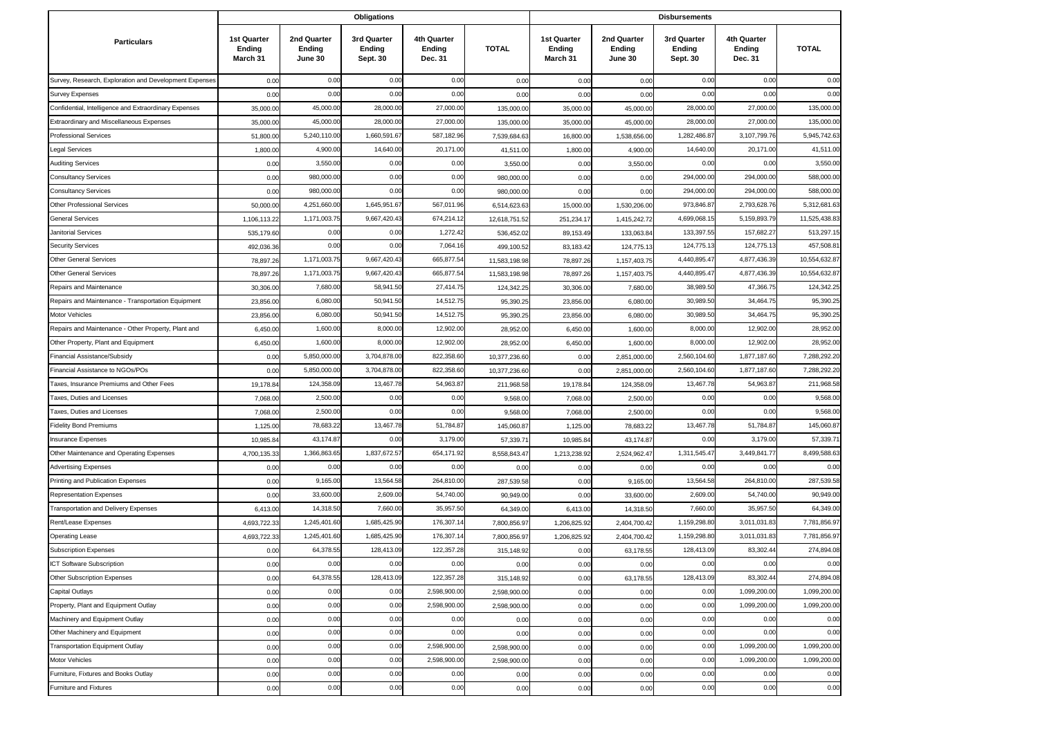|                                                        |                                          |                                  | <b>Obligations</b>                |                                         |               |                                                 |                                  | <b>Disbursements</b>              |                                  |              |
|--------------------------------------------------------|------------------------------------------|----------------------------------|-----------------------------------|-----------------------------------------|---------------|-------------------------------------------------|----------------------------------|-----------------------------------|----------------------------------|--------------|
| <b>Particulars</b>                                     | <b>1st Quarter</b><br>Ending<br>March 31 | 2nd Quarter<br>Ending<br>June 30 | 3rd Quarter<br>Ending<br>Sept. 30 | 4th Quarter<br><b>Ending</b><br>Dec. 31 | <b>TOTAL</b>  | <b>1st Quarter</b><br><b>Ending</b><br>March 31 | 2nd Quarter<br>Ending<br>June 30 | 3rd Quarter<br>Ending<br>Sept. 30 | 4th Quarter<br>Ending<br>Dec. 31 | <b>TOTAL</b> |
| Survey, Research, Exploration and Development Expenses | 0.00                                     | 0.00                             | 0.00                              | 0.00                                    | 0.00          | 0.00                                            | 0.00                             | 0.00                              | 0.00                             | 0.00         |
| <b>Survey Expenses</b>                                 | 0.00                                     | 0.00                             | 0.00                              | 0.00                                    | 0.00          | 0.00                                            | 0.00                             | 0.00                              | 0.00                             | 0.00         |
| Confidential, Intelligence and Extraordinary Expenses  | 35,000.00                                | 45,000.00                        | 28,000.00                         | 27,000.00                               | 135,000.0     | 35,000.0                                        | 45,000.00                        | 28,000.00                         | 27,000.00                        | 135,000.00   |
| Extraordinary and Miscellaneous Expenses               | 35,000.0                                 | 45,000.00                        | 28,000.0                          | 27,000.00                               | 135,000.0     | 35,000.0                                        | 45,000.00                        | 28,000.00                         | 27,000.00                        | 135,000.00   |
| <b>Professional Services</b>                           | 51,800.00                                | 5,240,110.00                     | 1,660,591.6                       | 587,182.96                              | 7,539,684.6   | 16,800.0                                        | 1,538,656.00                     | 1,282,486.87                      | 3,107,799.76                     | 5,945,742.63 |
| <b>Legal Services</b>                                  | 1,800.00                                 | 4,900.0                          | 14,640.0                          | 20,171.0                                | 41,511.00     | 1,800.0                                         | 4,900.00                         | 14,640.00                         | 20,171.00                        | 41,511.00    |
| <b>Auditing Services</b>                               | 0.00                                     | 3,550.0                          | 0.00                              | 0.00                                    | 3,550.00      | 0.00                                            | 3,550.00                         | 0.00                              | 0.00                             | 3,550.00     |
| <b>Consultancy Services</b>                            | 0.00                                     | 980,000.00                       | 0.00                              | 0.00                                    | 980,000.0     | 0.00                                            | 0.00                             | 294,000.00                        | 294,000.00                       | 588,000.00   |
| <b>Consultancy Services</b>                            | 0.00                                     | 980,000.00                       | 0.00                              | 0.00                                    | 980,000.00    | 0.00                                            | 0.00                             | 294,000.00                        | 294,000.00                       | 588,000.00   |
| Other Professional Services                            | 50,000.00                                | 4,251,660.00                     | 1,645,951.67                      | 567,011.96                              | 6,514,623.63  | 15,000.00                                       | 1,530,206.00                     | 973,846.87                        | 2,793,628.76                     | 5,312,681.6  |
| <b>General Services</b>                                | 1,106,113.22                             | 1,171,003.7                      | 9,667,420.4                       | 674,214.1                               | 12,618,751.5  | 251,234.1                                       | 1,415,242.72                     | 4,699,068.15                      | 5,159,893.79                     | 11,525,438.8 |
| Janitorial Services                                    | 535,179.60                               | 0.00                             | 0.00                              | 1,272.4                                 | 536,452.0     | 89,153.4                                        | 133,063.84                       | 133,397.55                        | 157,682.27                       | 513,297.1    |
| <b>Security Services</b>                               | 492,036.36                               | 0.00                             | 0.00                              | 7,064.1                                 | 499,100.5     | 83,183.4                                        | 124,775.13                       | 124,775.13                        | 124,775.13                       | 457,508.8    |
| <b>Other General Services</b>                          | 78,897.26                                | 1,171,003.7                      | 9,667,420.4                       | 665,877.5                               | 11,583,198.98 | 78,897.2                                        | 1,157,403.75                     | 4,440,895.47                      | 4,877,436.39                     | 10,554,632.8 |
| <b>Other General Services</b>                          | 78,897.2                                 | 1,171,003.7                      | 9,667,420.4                       | 665,877.5                               | 11,583,198.9  | 78,897.2                                        | 1,157,403.75                     | 4,440,895.47                      | 4,877,436.39                     | 10,554,632.8 |
| Repairs and Maintenance                                | 30,306.00                                | 7,680.00                         | 58,941.50                         | 27,414.7                                | 124,342.2     | 30,306.0                                        | 7,680.00                         | 38,989.50                         | 47,366.75                        | 124,342.2    |
| Repairs and Maintenance - Transportation Equipment     | 23,856.00                                | 6,080.00                         | 50,941.50                         | 14,512.7                                | 95,390.2      | 23,856.00                                       | 6,080.00                         | 30,989.50                         | 34,464.75                        | 95,390.25    |
| Motor Vehicles                                         | 23,856.00                                | 6,080.00                         | 50,941.50                         | 14,512.7                                | 95,390.2      | 23,856.0                                        | 6,080.00                         | 30,989.50                         | 34,464.75                        | 95,390.2     |
| Repairs and Maintenance - Other Property, Plant and    | 6,450.00                                 | 1,600.00                         | 8,000.0                           | 12,902.0                                | 28,952.0      | 6,450.0                                         | 1,600.00                         | 8,000.00                          | 12,902.00                        | 28,952.0     |
| Other Property, Plant and Equipment                    | 6,450.00                                 | 1,600.0                          | 8,000.0                           | 12,902.00                               | 28,952.0      | 6,450.0                                         | 1,600.00                         | 8,000.00                          | 12,902.00                        | 28,952.00    |
| Financial Assistance/Subsidy                           | 0.00                                     | 5,850,000.00                     | 3,704,878.0                       | 822,358.6                               | 10,377,236.60 | 0.00                                            | 2,851,000.00                     | 2,560,104.60                      | 1,877,187.60                     | 7,288,292.2  |
| Financial Assistance to NGOs/POs                       | 0.00                                     | 5,850,000.0                      | 3,704,878.0                       | 822,358.60                              | 10,377,236.60 | 0.00                                            | 2,851,000.00                     | 2,560,104.60                      | 1,877,187.60                     | 7,288,292.2  |
| Taxes, Insurance Premiums and Other Fees               | 19,178.8                                 | 124,358.0                        | 13,467.78                         | 54,963.8                                | 211,968.5     | 19,178.8                                        | 124,358.09                       | 13,467.78                         | 54,963.87                        | 211,968.58   |
| Taxes, Duties and Licenses                             | 7,068.00                                 | 2,500.00                         | 0.00                              | 0.00                                    | 9,568.00      | 7,068.0                                         | 2,500.00                         | 0.00                              | 0.00                             | 9,568.00     |
| Taxes, Duties and Licenses                             | 7,068.00                                 | 2,500.00                         | 0.00                              | 0.00                                    | 9,568.00      | 7,068.00                                        | 2,500.00                         | 0.00                              | 0.00                             | 9,568.00     |
| <b>Fidelity Bond Premiums</b>                          | 1,125.00                                 | 78,683.2                         | 13,467.78                         | 51,784.87                               | 145,060.87    | 1,125.0                                         | 78,683.22                        | 13,467.78                         | 51,784.87                        | 145,060.87   |
| <b>Insurance Expenses</b>                              | 10,985.8                                 | 43,174.8                         | 0.00                              | 3,179.0                                 | 57,339.7      | 10,985.8                                        | 43,174.87                        | 0.00                              | 3,179.00                         | 57,339.7     |
| Other Maintenance and Operating Expenses               | 4,700,135.33                             | 1,366,863.6                      | 1,837,672.5                       | 654,171.9                               | 8,558,843.4   | 1,213,238.92                                    | 2,524,962.47                     | 1,311,545.47                      | 3,449,841.7                      | 8,499,588.6  |
| <b>Advertising Expenses</b>                            | 0.00                                     | 0.00                             | 0.00                              | 0.00                                    | 0.00          | 0.00                                            | 0.00                             | 0.00                              | 0.00                             | 0.00         |
| Printing and Publication Expenses                      | 0.00                                     | 9,165.00                         | 13,564.5                          | 264,810.0                               | 287,539.5     | 0.00                                            | 9,165.00                         | 13,564.58                         | 264,810.00                       | 287,539.58   |
| <b>Representation Expenses</b>                         | 0.00                                     | 33,600.00                        | 2,609.00                          | 54,740.00                               | 90,949.0      | 0.00                                            | 33,600.00                        | 2,609.00                          | 54,740.00                        | 90,949.00    |
| <b>Transportation and Delivery Expenses</b>            | 6,413.00                                 | 14,318.50                        | 7,660.00                          | 35,957.50                               | 64,349.00     | 6,413.00                                        | 14,318.50                        | 7,660.00                          | 35,957.50                        | 64,349.00    |
| Rent/Lease Expenses                                    | 4,693,722.3                              | 1,245,401.60                     | 1,685,425.9                       | 176,307.1                               | 7,800,856.9   | 1,206,825.92                                    | 2,404,700.42                     | 1,159,298.80                      | 3,011,031.83                     | 7,781,856.97 |
| <b>Operating Lease</b>                                 | 4,693,722.3                              | 1,245,401.6                      | 1,685,425.9                       | 176,307.1                               | 7,800,856.9   | 1,206,825.92                                    | 2,404,700.42                     | 1,159,298.80                      | 3,011,031.8                      | 7,781,856.9  |
| <b>Subscription Expenses</b>                           | 0.00                                     | 64,378.5                         | 128,413.09                        | 122,357.2                               | 315,148.92    | 0.00                                            | 63,178.55                        | 128,413.09                        | 83,302.44                        | 274,894.08   |
| ICT Software Subscription                              | 0.00                                     | 0.00                             | 0.00                              | 0.00                                    | 0.00          | 0.0 <sub>0</sub>                                | 0.00                             | 0.00                              | 0.00                             | 0.00         |
| Other Subscription Expenses                            | 0.00                                     | 64,378.5                         | 128,413.09                        | 122,357.28                              | 315,148.92    | 0.00                                            | 63,178.55                        | 128,413.09                        | 83,302.44                        | 274,894.08   |
| Capital Outlays                                        | 0.00                                     | 0.00                             | 0.00                              | 2,598,900.0                             | 2,598,900.00  | 0.00                                            | 0.00                             | 0.00                              | 1,099,200.00                     | 1,099,200.00 |
| Property, Plant and Equipment Outlay                   | 0.00                                     | 0.00                             | 0.00                              | 2,598,900.00                            | 2,598,900.00  | 0.00                                            | 0.00                             | 0.00                              | 1,099,200.00                     | 1,099,200.00 |
| Machinery and Equipment Outlay                         | 0.00                                     | 0.00                             | 0.00                              | 0.00                                    | 0.00          | 0.00                                            | 0.00                             | 0.00                              | 0.00                             | 0.00         |
| Other Machinery and Equipment                          | 0.00                                     | 0.00                             | 0.00                              | 0.00                                    | 0.00          | 0.00                                            | 0.00                             | 0.00                              | 0.00                             | 0.00         |
| <b>Transportation Equipment Outlay</b>                 | 0.00                                     | 0.00                             | 0.00                              | 2,598,900.00                            | 2,598,900.00  | 0.00                                            | 0.00                             | 0.00                              | 1,099,200.00                     | 1,099,200.00 |
| Motor Vehicles                                         | 0.00                                     | 0.00                             | 0.00                              | 2,598,900.00                            | 2,598,900.00  | 0.00                                            | 0.00                             | 0.00                              | 1,099,200.00                     | 1,099,200.00 |
| Furniture, Fixtures and Books Outlay                   | 0.00                                     | 0.00                             | 0.00                              | 0.00                                    | 0.00          | 0.00                                            | 0.00                             | 0.00                              | 0.00                             | 0.00         |
| <b>Furniture and Fixtures</b>                          | 0.00                                     | 0.00                             | 0.00                              | 0.00                                    | 0.00          | 0.00                                            | 0.00                             | 0.00                              | 0.00                             | 0.00         |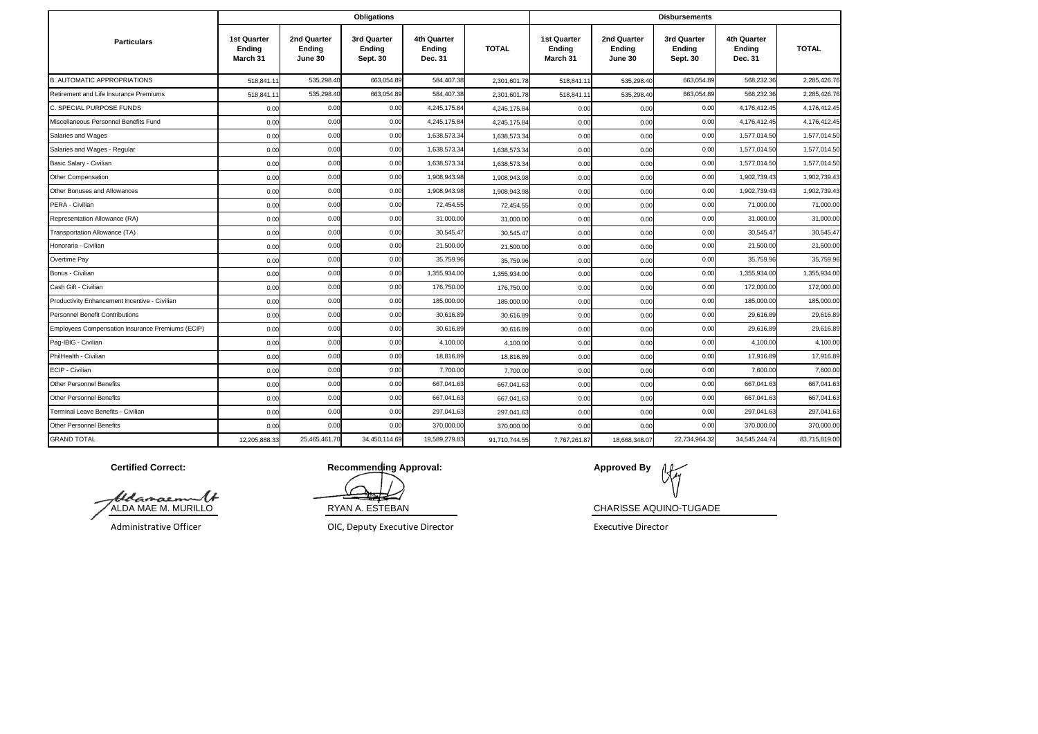|                                                  |                                          |                                  | Obligations                       |                                  |               |                                   |                                  | <b>Disbursements</b>              |                                  |               |
|--------------------------------------------------|------------------------------------------|----------------------------------|-----------------------------------|----------------------------------|---------------|-----------------------------------|----------------------------------|-----------------------------------|----------------------------------|---------------|
| <b>Particulars</b>                               | <b>1st Quarter</b><br>Ending<br>March 31 | 2nd Quarter<br>Ending<br>June 30 | 3rd Quarter<br>Ending<br>Sept. 30 | 4th Quarter<br>Ending<br>Dec. 31 | <b>TOTAL</b>  | 1st Quarter<br>Ending<br>March 31 | 2nd Quarter<br>Ending<br>June 30 | 3rd Quarter<br>Ending<br>Sept. 30 | 4th Quarter<br>Ending<br>Dec. 31 | <b>TOTAL</b>  |
| <b>B. AUTOMATIC APPROPRIATIONS</b>               | 518.841.1                                | 535,298.40                       | 663,054.89                        | 584,407.38                       | 2,301,601.78  | 518,841.11                        | 535,298.40                       | 663,054.89                        | 568,232.36                       | 2,285,426.76  |
| Retirement and Life Insurance Premiums           | 518,841.1                                | 535,298.40                       | 663,054.89                        | 584,407.38                       | 2,301,601.78  | 518,841.1                         | 535,298.40                       | 663,054.89                        | 568,232.36                       | 2.285.426.76  |
| C. SPECIAL PURPOSE FUNDS                         | 0.00                                     | 0.00                             | 0.00                              | 4,245,175.84                     | 4,245,175.84  | 0.00                              | 0.00                             | 0.00                              | 4,176,412.45                     | 4,176,412.4   |
| Miscellaneous Personnel Benefits Fund            | 0.00                                     | 0.00                             | 0.00                              | 4,245,175.84                     | 4,245,175.84  | 0.00                              | 0.00                             | 0.00                              | 4,176,412.45                     | 4,176,412.45  |
| Salaries and Wages                               | 0.00                                     | 0.00                             | 0.00                              | 1,638,573.34                     | 1,638,573.34  | 0.00                              | 0.00                             | 0.00                              | 1,577,014.50                     | 1,577,014.50  |
| Salaries and Wages - Regular                     | 0.00                                     | 0.00                             | 0.00                              | 1,638,573.34                     | 1,638,573.34  | 0.00                              | 0.00                             | 0.00                              | 1,577,014.50                     | 1,577,014.50  |
| Basic Salary - Civilian                          | 0.00                                     | 0.00                             | 0.00                              | 1,638,573.34                     | 1,638,573.34  | 0.00                              | 0.00                             | 0.00                              | 1,577,014.50                     | 1,577,014.50  |
| Other Compensation                               | 0.00                                     | 0.00                             | 0.00                              | 1,908,943.98                     | 1,908,943.98  | 0.00                              | 0.00                             | 0.00                              | 1,902,739.43                     | 1,902,739.43  |
| Other Bonuses and Allowances                     | 0.00                                     | 0.00                             | 0.00                              | 1,908,943.98                     | 1.908.943.98  | 0.00                              | 0.00                             | 0.00                              | 1,902,739.43                     | 1,902,739.43  |
| PERA - Civilian                                  | 0.00                                     | 0.00                             | 0.00                              | 72,454.55                        | 72,454.55     | 0.00                              | 0.00                             | 0.00                              | 71,000.00                        | 71,000.00     |
| Representation Allowance (RA)                    | 0.00                                     | 0.00                             | 0.00                              | 31,000.00                        | 31,000.0      | 0.00                              | 0.00                             | 0.00                              | 31,000.0                         | 31,000.0      |
| Transportation Allowance (TA)                    | 0.00                                     | 0.00                             | 0.00                              | 30,545.47                        | 30,545.47     | 0.00                              | 0.00                             | 0.00                              | 30,545.47                        | 30,545.47     |
| Honoraria - Civilian                             | 0.00                                     | 0.00                             | 0.00                              | 21,500.00                        | 21,500.0      | 0.00                              | 0.00                             | 0.00                              | 21,500.00                        | 21,500.0      |
| Overtime Pay                                     | 0.00                                     | 0.00                             | 0.00                              | 35,759.96                        | 35,759.96     | 0.00                              | 0.00                             | 0.00                              | 35,759.96                        | 35,759.9      |
| Bonus - Civilian                                 | 0.00                                     | 0.00                             | 0.00                              | 1,355,934.00                     | 1,355,934.0   | 0.00                              | 0.00                             | 0.00                              | 1.355.934.00                     | 1,355,934.00  |
| Cash Gift - Civilian                             | 0.00                                     | 0.00                             | 0.00                              | 176,750.00                       | 176,750.0     | 0.00                              | 0.00                             | 0.00                              | 172,000.00                       | 172,000.00    |
| Productivity Enhancement Incentive - Civilian    | 0.00                                     | 0.00                             | 0.00                              | 185,000.00                       | 185,000.0     | 0.00                              | 0.00                             | 0.00                              | 185,000.00                       | 185,000.0     |
| <b>Personnel Benefit Contributions</b>           | 0.00                                     | 0.00                             | 0.00                              | 30,616.89                        | 30,616.89     | 0.00                              | 0.00                             | 0.00                              | 29,616.89                        | 29,616.89     |
| Employees Compensation Insurance Premiums (ECIP) | 0.00                                     | 0.00                             | 0.00                              | 30.616.89                        | 30,616.89     | 0.00                              | 0.00                             | 0.00                              | 29,616.89                        | 29,616.89     |
| Pag-IBIG - Civilian                              | 0.00                                     | 0.00                             | 0.00                              | 4,100.00                         | 4,100.00      | 0.00                              | 0.00                             | 0.00                              | 4,100.00                         | 4,100.00      |
| PhilHealth - Civilian                            | 0.00                                     | 0.00                             | 0.00                              | 18.816.89                        | 18.816.8      | 0.00                              | 0.00                             | 0.00                              | 17.916.89                        | 17,916.89     |
| ECIP - Civilian                                  | 0.00                                     | 0.00                             | 0.00                              | 7,700.00                         | 7,700.0       | 0.00                              | 0.00                             | 0.00                              | 7,600.00                         | 7,600.00      |
| <b>Other Personnel Benefits</b>                  | 0.00                                     | 0.00                             | 0.00                              | 667,041.63                       | 667,041.63    | 0.00                              | 0.00                             | 0.00                              | 667,041.63                       | 667,041.63    |
| <b>Other Personnel Benefits</b>                  | 0.00                                     | 0.00                             | 0.00                              | 667,041.63                       | 667,041.63    | 0.00                              | 0.00                             | 0.00                              | 667,041.63                       | 667,041.63    |
| Terminal Leave Benefits - Civilian               | 0.00                                     | 0.00                             | 0.00                              | 297,041.63                       | 297.041.63    | 0.00                              | 0.00                             | 0.00                              | 297,041.63                       | 297,041.63    |
| <b>Other Personnel Benefits</b>                  | 0.00                                     | 0.00                             | 0.00                              | 370,000.00                       | 370,000.0     | 0.00                              | 0.00                             | 0.00                              | 370,000.00                       | 370,000.00    |
| <b>GRAND TOTAL</b>                               | 12,205,888.33                            | 25,465,461.70                    | 34,450,114.69                     | 19,589,279.83                    | 91,710,744.55 | 7,767,261.87                      | 18,668,348.07                    | 22,734,964.32                     | 34,545,244.74                    | 83,715,819.00 |

**Certified Correct:**

ALDA MAE M. MURILLO

Administrative Officer

OIC, Deputy Executive Director executive Director

RYAN A. ESTEBAN CHARISSE AQUINO-TUGADE **Recommending Approval: Approved By**  $\begin{bmatrix} 1 \\ 2 \end{bmatrix}$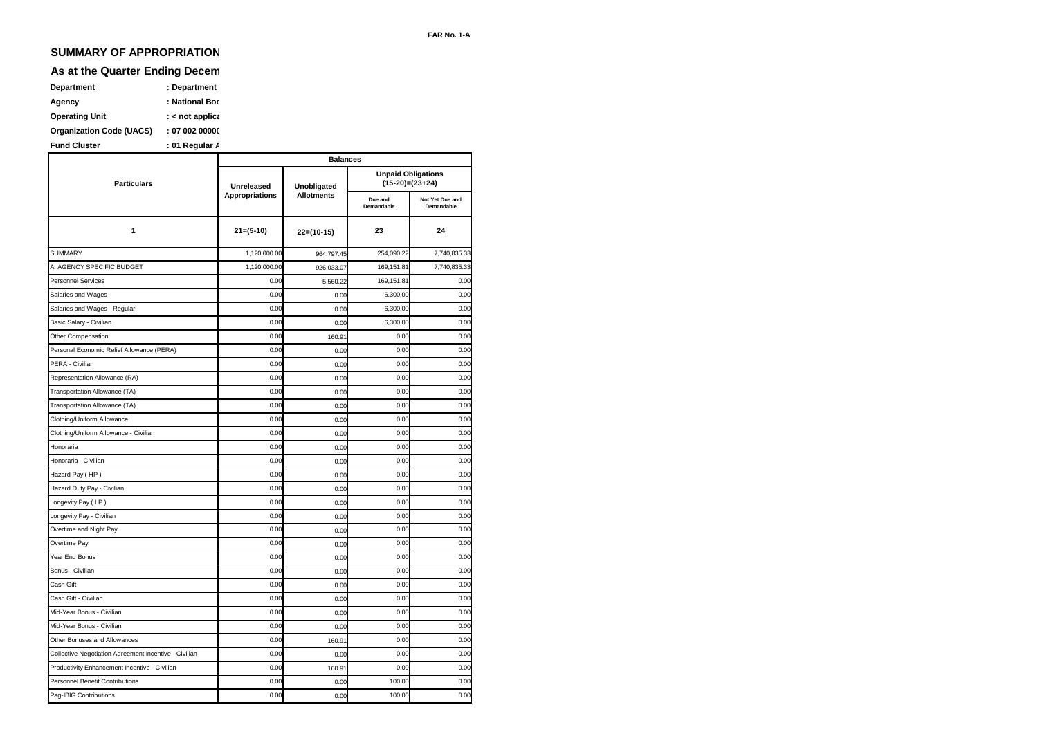# **SUMMARY OF APPROPRIATION**

# **As at the Quarter Ending Decem**

| Department                      | : Department        |
|---------------------------------|---------------------|
| Agency                          | : National Boc      |
| <b>Operating Unit</b>           | : $\lt$ not applica |
| <b>Organization Code (UACS)</b> | : 0700200000        |

|                                                       |                       | <b>Balances</b>   |                       |                               |
|-------------------------------------------------------|-----------------------|-------------------|-----------------------|-------------------------------|
| <b>Particulars</b>                                    | Unreleased            | Unobligated       | $(15-20)=(23+24)$     | <b>Unpaid Obligations</b>     |
|                                                       | <b>Appropriations</b> | <b>Allotments</b> | Due and<br>Demandable | Not Yet Due and<br>Demandable |
| 1                                                     | $21=(5-10)$           | $22=(10-15)$      | 23                    | 24                            |
| <b>SUMMARY</b>                                        | 1,120,000.00          | 964,797.45        | 254,090.22            | 7,740,835.33                  |
| A. AGENCY SPECIFIC BUDGET                             | 1,120,000.00          | 926,033.07        | 169,151.81            | 7,740,835.33                  |
| <b>Personnel Services</b>                             | 0.00                  | 5,560.22          | 169, 151.81           | 0.00                          |
| Salaries and Wages                                    | 0.00                  | 0.00              | 6,300.00              | 0.00                          |
| Salaries and Wages - Regular                          | 0.00                  | 0.00              | 6,300.00              | 0.00                          |
| Basic Salary - Civilian                               | 0.00                  | 0.00              | 6,300.00              | 0.00                          |
| Other Compensation                                    | 0.00                  | 160.91            | 0.00                  | 0.00                          |
| Personal Economic Relief Allowance (PERA)             | 0.00                  | 0.00              | 0.00                  | 0.00                          |
| PERA - Civilian                                       | 0.00                  | 0.00              | 0.00                  | 0.00                          |
| Representation Allowance (RA)                         | 0.00                  | 0.00              | 0.00                  | 0.00                          |
| Transportation Allowance (TA)                         | 0.00                  | 0.00              | 0.00                  | 0.00                          |
| Transportation Allowance (TA)                         | 0.00                  | 0.00              | 0.00                  | 0.00                          |
| Clothing/Uniform Allowance                            | 0.00                  | 0.00              | 0.00                  | 0.00                          |
| Clothing/Uniform Allowance - Civilian                 | 0.00                  | 0.00              | 0.00                  | 0.00                          |
| Honoraria                                             | 0.00                  | 0.00              | 0.00                  | 0.00                          |
| Honoraria - Civilian                                  | 0.00                  | 0.00              | 0.00                  | 0.00                          |
| Hazard Pay (HP)                                       | 0.00                  | 0.00              | 0.00                  | 0.00                          |
| Hazard Duty Pay - Civilian                            | 0.00                  | 0.00              | 0.00                  | 0.00                          |
| Longevity Pay (LP)                                    | 0.00                  | 0.00              | 0.00                  | 0.00                          |
| Longevity Pay - Civilian                              | 0.00                  | 0.00              | 0.00                  | 0.00                          |
| Overtime and Night Pay                                | 0.00                  | 0.00              | 0.00                  | 0.00                          |
| Overtime Pay                                          | 0.00                  | 0.00              | 0.00                  | 0.00                          |
| Year End Bonus                                        | 0.00                  | 0.00              | 0.00                  | 0.00                          |
| Bonus - Civilian                                      | 0.00                  | 0.00              | 0.00                  | 0.00                          |
| Cash Gift                                             | 0.00                  | 0.00              | 0.00                  | 0.00                          |
| Cash Gift - Civilian                                  | 0.00                  | 0.00              | 0.00                  | 0.00                          |
| Mid-Year Bonus - Civilian                             | 0.00                  | 0.00              | 0.00                  | 0.00                          |
| Mid-Year Bonus - Civilian                             | 0.00                  | 0.00              | 0.00                  | 0.00                          |
| Other Bonuses and Allowances                          | 0.00                  | 160.91            | 0.00                  | 0.00                          |
| Collective Negotiation Agreement Incentive - Civilian | 0.00                  | 0.00              | 0.00                  | 0.00                          |
| Productivity Enhancement Incentive - Civilian         | 0.00                  | 160.91            | 0.00                  | 0.00                          |
| <b>Personnel Benefit Contributions</b>                | 0.00                  | 0.00              | 100.00                | 0.00                          |
| Pag-IBIG Contributions                                | 0.00                  | 0.00              | 100.00                | 0.00                          |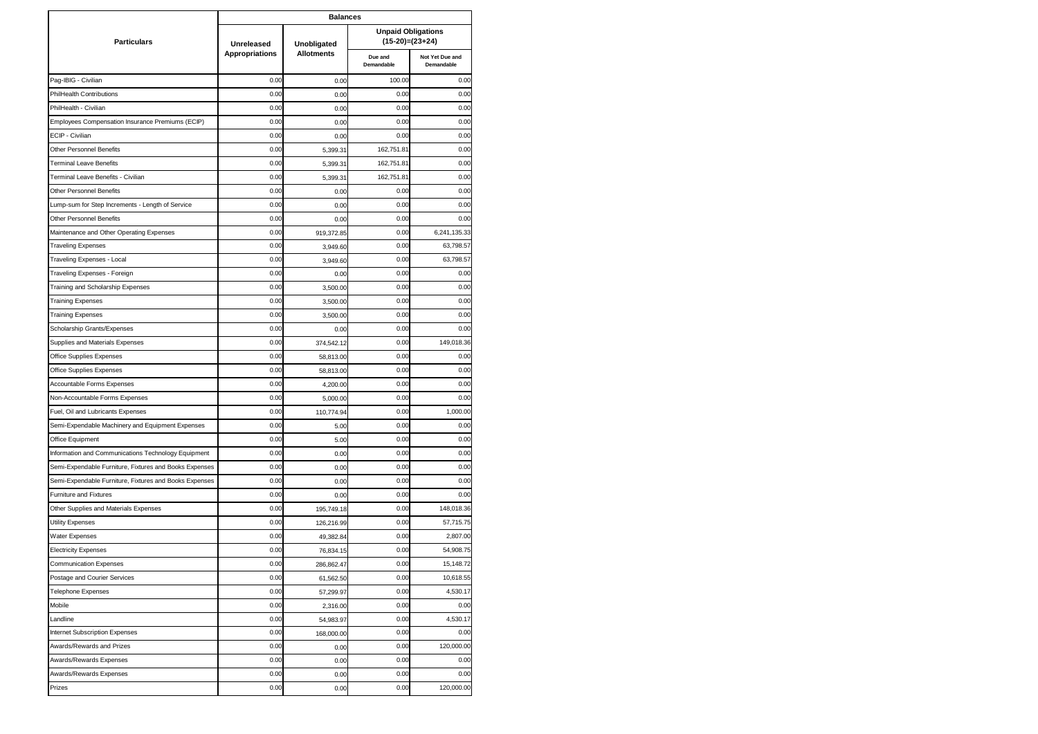|                                                        | <b>Balances</b>       |                   |                       |                                                |  |  |  |
|--------------------------------------------------------|-----------------------|-------------------|-----------------------|------------------------------------------------|--|--|--|
| <b>Particulars</b>                                     | <b>Unreleased</b>     | Unobligated       |                       | <b>Unpaid Obligations</b><br>$(15-20)=(23+24)$ |  |  |  |
|                                                        | <b>Appropriations</b> | <b>Allotments</b> | Due and<br>Demandable | Not Yet Due and<br>Demandable                  |  |  |  |
| Pag-IBIG - Civilian                                    | 0.00                  | 0.00              | 100.00                | 0.00                                           |  |  |  |
| PhilHealth Contributions                               | 0.00                  | 0.00              | 0.00                  | 0.00                                           |  |  |  |
| PhilHealth - Civilian                                  | 0.00                  | 0.00              | 0.00                  | 0.00                                           |  |  |  |
| Employees Compensation Insurance Premiums (ECIP)       | 0.00                  | 0.00              | 0.00                  | 0.00                                           |  |  |  |
| ECIP - Civilian                                        | 0.00                  | 0.00              | 0.00                  | 0.00                                           |  |  |  |
| Other Personnel Benefits                               | 0.00                  | 5,399.31          | 162,751.81            | 0.00                                           |  |  |  |
| <b>Terminal Leave Benefits</b>                         | 0.00                  | 5,399.31          | 162,751.81            | 0.00                                           |  |  |  |
| Terminal Leave Benefits - Civilian                     | 0.00                  | 5,399.31          | 162,751.81            | 0.00                                           |  |  |  |
| Other Personnel Benefits                               | 0.00                  | 0.00              | 0.00                  | 0.00                                           |  |  |  |
| Lump-sum for Step Increments - Length of Service       | 0.00                  | 0.00              | 0.00                  | 0.00                                           |  |  |  |
| Other Personnel Benefits                               | 0.00                  | 0.00              | 0.00                  | 0.00                                           |  |  |  |
| Maintenance and Other Operating Expenses               | 0.00                  | 919,372.85        | 0.00                  | 6,241,135.33                                   |  |  |  |
| <b>Traveling Expenses</b>                              | 0.00                  | 3,949.60          | 0.00                  | 63,798.57                                      |  |  |  |
| Traveling Expenses - Local                             | 0.00                  | 3,949.60          | 0.00                  | 63,798.57                                      |  |  |  |
| Traveling Expenses - Foreign                           | 0.00                  | 0.00              | 0.00                  | 0.00                                           |  |  |  |
| Training and Scholarship Expenses                      | 0.00                  | 3,500.00          | 0.00                  | 0.00                                           |  |  |  |
| <b>Training Expenses</b>                               | 0.00                  | 3,500.00          | 0.00                  | 0.00                                           |  |  |  |
| <b>Training Expenses</b>                               | 0.00                  | 3,500.00          | 0.00                  | 0.00                                           |  |  |  |
| Scholarship Grants/Expenses                            | 0.00                  | 0.00              | 0.00                  | 0.00                                           |  |  |  |
| Supplies and Materials Expenses                        | 0.00                  | 374,542.12        | 0.00                  | 149,018.36                                     |  |  |  |
| Office Supplies Expenses                               | 0.00                  | 58,813.00         | 0.00                  | 0.00                                           |  |  |  |
| Office Supplies Expenses                               | 0.00                  | 58,813.00         | 0.00                  | 0.00                                           |  |  |  |
| Accountable Forms Expenses                             | 0.00                  | 4,200.00          | 0.00                  | 0.00                                           |  |  |  |
| Non-Accountable Forms Expenses                         | 0.00                  | 5,000.00          | 0.00                  | 0.00                                           |  |  |  |
| Fuel, Oil and Lubricants Expenses                      | 0.00                  | 110,774.94        | 0.00                  | 1,000.00                                       |  |  |  |
| Semi-Expendable Machinery and Equipment Expenses       | 0.00                  | 5.00              | 0.00                  | 0.00                                           |  |  |  |
| Office Equipment                                       | 0.00                  | 5.00              | 0.00                  | 0.00                                           |  |  |  |
| Information and Communications Technology Equipment    | 0.00                  | 0.00              | 0.00                  | 0.00                                           |  |  |  |
| Semi-Expendable Furniture, Fixtures and Books Expenses | 0.00                  | 0.00              | 0.00                  | 0.00                                           |  |  |  |
| Semi-Expendable Furniture, Fixtures and Books Expenses | 0.00                  | 0.00              | 0.00                  | 0.00                                           |  |  |  |
| <b>Furniture and Fixtures</b>                          | 0.00                  | 0.00              | 0.00                  | 0.00                                           |  |  |  |
| Other Supplies and Materials Expenses                  | 0.00                  | 195,749.18        | 0.00                  | 148,018.36                                     |  |  |  |
| Utility Expenses                                       | 0.00                  | 126,216.99        | 0.00                  | 57,715.75                                      |  |  |  |
| <b>Water Expenses</b>                                  | 0.00                  | 49,382.84         | 0.00                  | 2,807.00                                       |  |  |  |
| <b>Electricity Expenses</b>                            | 0.00                  | 76,834.15         | 0.00                  | 54,908.75                                      |  |  |  |
| <b>Communication Expenses</b>                          | 0.00                  | 286,862.47        | 0.00                  | 15,148.72                                      |  |  |  |
| Postage and Courier Services                           | 0.00                  | 61,562.50         | 0.00                  | 10,618.55                                      |  |  |  |
| <b>Telephone Expenses</b>                              | 0.00                  | 57,299.97         | 0.00                  | 4,530.17                                       |  |  |  |
| Mobile                                                 | 0.00                  | 2,316.00          | 0.00                  | 0.00                                           |  |  |  |
| Landline                                               | 0.00                  | 54,983.97         | 0.00                  | 4,530.17                                       |  |  |  |
| <b>Internet Subscription Expenses</b>                  | 0.00                  | 168,000.00        | 0.00                  | 0.00                                           |  |  |  |
| Awards/Rewards and Prizes                              | 0.00                  | 0.00              | 0.00                  | 120,000.00                                     |  |  |  |
| Awards/Rewards Expenses                                | 0.00                  | 0.00              | 0.00                  | 0.00                                           |  |  |  |
| Awards/Rewards Expenses                                | 0.00                  | 0.00              | 0.00                  | 0.00                                           |  |  |  |
| Prizes                                                 | 0.00                  | 0.00              | 0.00                  | 120,000.00                                     |  |  |  |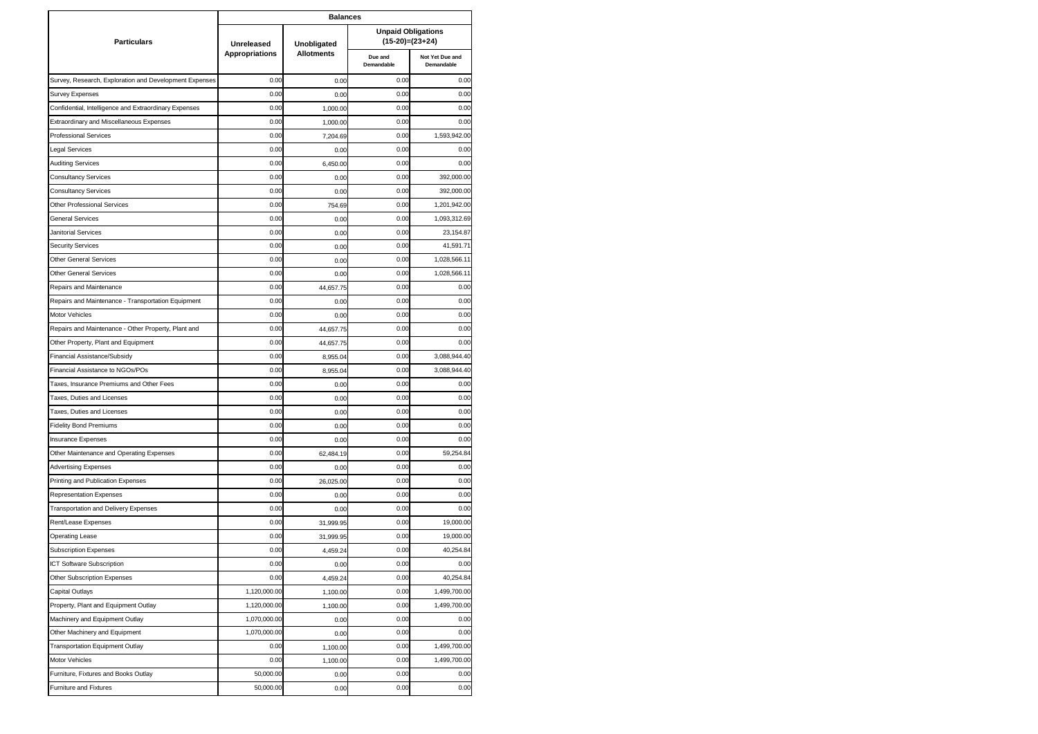|                                                        | <b>Balances</b>                     |                                  |                                                |                               |
|--------------------------------------------------------|-------------------------------------|----------------------------------|------------------------------------------------|-------------------------------|
| <b>Particulars</b>                                     | Unreleased<br><b>Appropriations</b> | Unobligated<br><b>Allotments</b> | <b>Unpaid Obligations</b><br>$(15-20)=(23+24)$ |                               |
|                                                        |                                     |                                  | Due and<br>Demandable                          | Not Yet Due and<br>Demandable |
| Survey, Research, Exploration and Development Expenses | 0.00                                | 0.00                             | 0.00                                           | 0.00                          |
| Survey Expenses                                        | 0.00                                | 0.00                             | 0.00                                           | 0.00                          |
| Confidential, Intelligence and Extraordinary Expenses  | 0.00                                | 1,000.00                         | 0.00                                           | 0.00                          |
| Extraordinary and Miscellaneous Expenses               | 0.00                                | 1,000.00                         | 0.00                                           | 0.00                          |
| <b>Professional Services</b>                           | 0.00                                | 7,204.69                         | 0.00                                           | 1,593,942.00                  |
| Legal Services                                         | 0.00                                | 0.00                             | 0.00                                           | 0.00                          |
| <b>Auditing Services</b>                               | 0.00                                | 6,450.00                         | 0.00                                           | 0.00                          |
| <b>Consultancy Services</b>                            | 0.00                                | 0.00                             | 0.00                                           | 392,000.00                    |
| <b>Consultancy Services</b>                            | 0.00                                | 0.00                             | 0.00                                           | 392,000.00                    |
| <b>Other Professional Services</b>                     | 0.00                                | 754.69                           | 0.00                                           | 1,201,942.00                  |
| <b>General Services</b>                                | 0.00                                | 0.00                             | 0.00                                           | 1,093,312.69                  |
| Janitorial Services                                    | 0.00                                | 0.00                             | 0.00                                           | 23,154.87                     |
| <b>Security Services</b>                               | 0.00                                | 0.00                             | 0.00                                           | 41,591.71                     |
| <b>Other General Services</b>                          | 0.00                                | 0.00                             | 0.00                                           | 1,028,566.11                  |
| <b>Other General Services</b>                          | 0.00                                | 0.00                             | 0.00                                           | 1,028,566.11                  |
| Repairs and Maintenance                                | 0.00                                | 44,657.75                        | 0.00                                           | 0.00                          |
| Repairs and Maintenance - Transportation Equipment     | 0.00                                | 0.00                             | 0.00                                           | 0.00                          |
| Motor Vehicles                                         | 0.00                                | 0.00                             | 0.00                                           | 0.00                          |
| Repairs and Maintenance - Other Property, Plant and    | 0.00                                | 44,657.75                        | 0.00                                           | 0.00                          |
| Other Property, Plant and Equipment                    | 0.00                                | 44,657.75                        | 0.00                                           | 0.00                          |
| Financial Assistance/Subsidy                           | 0.00                                | 8,955.04                         | 0.00                                           | 3,088,944.40                  |
| Financial Assistance to NGOs/POs                       | 0.00                                | 8,955.04                         | 0.00                                           | 3,088,944.40                  |
| Taxes, Insurance Premiums and Other Fees               | 0.00                                | 0.00                             | 0.00                                           | 0.00                          |
| Taxes, Duties and Licenses                             | 0.00                                | 0.00                             | 0.00                                           | 0.00                          |
| Taxes, Duties and Licenses                             | 0.00                                | 0.00                             | 0.00                                           | 0.00                          |
| <b>Fidelity Bond Premiums</b>                          | 0.00                                | 0.00                             | 0.00                                           | 0.00                          |
| <b>Insurance Expenses</b>                              | 0.00                                | 0.00                             | 0.00                                           | 0.00                          |
| Other Maintenance and Operating Expenses               | 0.00                                | 62,484.19                        | 0.00                                           | 59,254.84                     |
| <b>Advertising Expenses</b>                            | 0.00                                | 0.00                             | 0.00                                           | 0.00                          |
| Printing and Publication Expenses                      | 0.00                                | 26,025.00                        | 0.00                                           | 0.00                          |
| <b>Representation Expenses</b>                         | 0.00                                | 0.00                             | 0.00                                           | 0.00                          |
| <b>Transportation and Delivery Expenses</b>            | 0.00                                | 0.00                             | 0.00                                           | 0.00                          |
| Rent/Lease Expenses                                    | 0.00                                | 31,999.95                        | 0.00                                           | 19,000.00                     |
| <b>Operating Lease</b>                                 | 0.00                                | 31,999.95                        | 0.00                                           | 19,000.00                     |
| <b>Subscription Expenses</b>                           | 0.00                                | 4,459.24                         | 0.00                                           | 40,254.84                     |
| ICT Software Subscription                              | 0.00                                | 0.00                             | 0.00                                           | 0.00                          |
| Other Subscription Expenses                            | 0.00                                | 4,459.24                         | 0.00                                           | 40,254.84                     |
| Capital Outlays                                        | 1,120,000.00                        | 1,100.00                         | 0.00                                           | 1,499,700.00                  |
| Property, Plant and Equipment Outlay                   | 1,120,000.00                        | 1,100.00                         | 0.00                                           | 1,499,700.00                  |
| Machinery and Equipment Outlay                         | 1,070,000.00                        | 0.00                             | 0.00                                           | 0.00                          |
| Other Machinery and Equipment                          | 1,070,000.00                        | 0.00                             | 0.00                                           | 0.00                          |
| <b>Transportation Equipment Outlay</b>                 | 0.00                                | 1,100.00                         | 0.00                                           | 1,499,700.00                  |
| Motor Vehicles                                         | 0.00                                | 1,100.00                         | 0.00                                           | 1,499,700.00                  |
| Furniture, Fixtures and Books Outlay                   | 50,000.00                           | 0.00                             | 0.00                                           | 0.00                          |
| <b>Furniture and Fixtures</b>                          | 50,000.00                           | 0.00                             | 0.00                                           | 0.00                          |